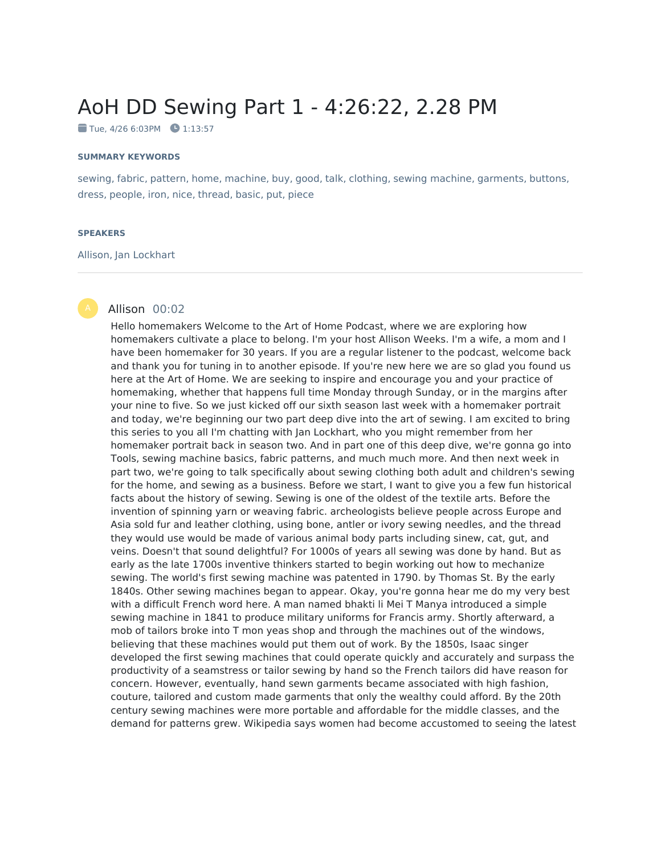# AoH DD Sewing Part 1 - 4:26:22, 2.28 PM

 $\blacksquare$  Tue, 4/26 6:03PM  $\blacksquare$  1:13:57

#### **SUMMARY KEYWORDS**

sewing, fabric, pattern, home, machine, buy, good, talk, clothing, sewing machine, garments, buttons, dress, people, iron, nice, thread, basic, put, piece

#### **SPEAKERS**

#### Allison, Jan Lockhart

#### Allison 00:02

Hello homemakers Welcome to the Art of Home Podcast, where we are exploring how homemakers cultivate a place to belong. I'm your host Allison Weeks. I'm a wife, a mom and I have been homemaker for 30 years. If you are a regular listener to the podcast, welcome back and thank you for tuning in to another episode. If you're new here we are so glad you found us here at the Art of Home. We are seeking to inspire and encourage you and your practice of homemaking, whether that happens full time Monday through Sunday, or in the margins after your nine to five. So we just kicked off our sixth season last week with a homemaker portrait and today, we're beginning our two part deep dive into the art of sewing. I am excited to bring this series to you all I'm chatting with Jan Lockhart, who you might remember from her homemaker portrait back in season two. And in part one of this deep dive, we're gonna go into Tools, sewing machine basics, fabric patterns, and much much more. And then next week in part two, we're going to talk specifically about sewing clothing both adult and children's sewing for the home, and sewing as a business. Before we start, I want to give you a few fun historical facts about the history of sewing. Sewing is one of the oldest of the textile arts. Before the invention of spinning yarn or weaving fabric. archeologists believe people across Europe and Asia sold fur and leather clothing, using bone, antler or ivory sewing needles, and the thread they would use would be made of various animal body parts including sinew, cat, gut, and veins. Doesn't that sound delightful? For 1000s of years all sewing was done by hand. But as early as the late 1700s inventive thinkers started to begin working out how to mechanize sewing. The world's first sewing machine was patented in 1790. by Thomas St. By the early 1840s. Other sewing machines began to appear. Okay, you're gonna hear me do my very best with a difficult French word here. A man named bhakti li Mei T Manya introduced a simple sewing machine in 1841 to produce military uniforms for Francis army. Shortly afterward, a mob of tailors broke into T mon yeas shop and through the machines out of the windows, believing that these machines would put them out of work. By the 1850s, Isaac singer developed the first sewing machines that could operate quickly and accurately and surpass the productivity of a seamstress or tailor sewing by hand so the French tailors did have reason for concern. However, eventually, hand sewn garments became associated with high fashion, couture, tailored and custom made garments that only the wealthy could afford. By the 20th century sewing machines were more portable and affordable for the middle classes, and the demand for patterns grew. Wikipedia says women had become accustomed to seeing the latest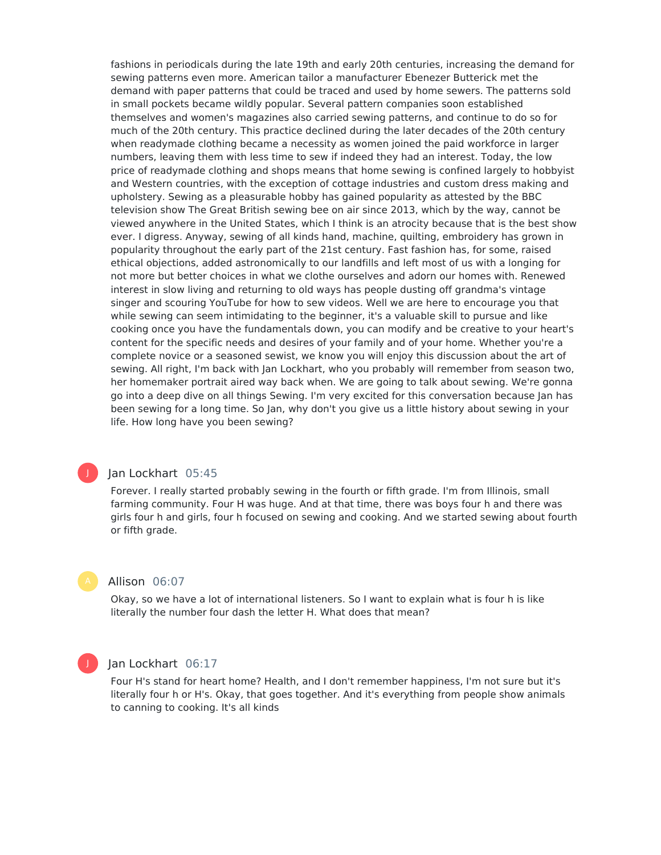fashions in periodicals during the late 19th and early 20th centuries, increasing the demand for sewing patterns even more. American tailor a manufacturer Ebenezer Butterick met the demand with paper patterns that could be traced and used by home sewers. The patterns sold in small pockets became wildly popular. Several pattern companies soon established themselves and women's magazines also carried sewing patterns, and continue to do so for much of the 20th century. This practice declined during the later decades of the 20th century when readymade clothing became a necessity as women joined the paid workforce in larger numbers, leaving them with less time to sew if indeed they had an interest. Today, the low price of readymade clothing and shops means that home sewing is confined largely to hobbyist and Western countries, with the exception of cottage industries and custom dress making and upholstery. Sewing as a pleasurable hobby has gained popularity as attested by the BBC television show The Great British sewing bee on air since 2013, which by the way, cannot be viewed anywhere in the United States, which I think is an atrocity because that is the best show ever. I digress. Anyway, sewing of all kinds hand, machine, quilting, embroidery has grown in popularity throughout the early part of the 21st century. Fast fashion has, for some, raised ethical objections, added astronomically to our landfills and left most of us with a longing for not more but better choices in what we clothe ourselves and adorn our homes with. Renewed interest in slow living and returning to old ways has people dusting off grandma's vintage singer and scouring YouTube for how to sew videos. Well we are here to encourage you that while sewing can seem intimidating to the beginner, it's a valuable skill to pursue and like cooking once you have the fundamentals down, you can modify and be creative to your heart's content for the specific needs and desires of your family and of your home. Whether you're a complete novice or a seasoned sewist, we know you will enjoy this discussion about the art of sewing. All right, I'm back with Jan Lockhart, who you probably will remember from season two, her homemaker portrait aired way back when. We are going to talk about sewing. We're gonna go into a deep dive on all things Sewing. I'm very excited for this conversation because Jan has been sewing for a long time. So Jan, why don't you give us a little history about sewing in your life. How long have you been sewing?

## J

## Jan Lockhart 05:45

Forever. I really started probably sewing in the fourth or fifth grade. I'm from Illinois, small farming community. Four H was huge. And at that time, there was boys four h and there was girls four h and girls, four h focused on sewing and cooking. And we started sewing about fourth or fifth grade.

#### Allison 06:07

Okay, so we have a lot of international listeners. So I want to explain what is four h is like literally the number four dash the letter H. What does that mean?



#### Jan Lockhart 06:17

Four H's stand for heart home? Health, and I don't remember happiness, I'm not sure but it's literally four h or H's. Okay, that goes together. And it's everything from people show animals to canning to cooking. It's all kinds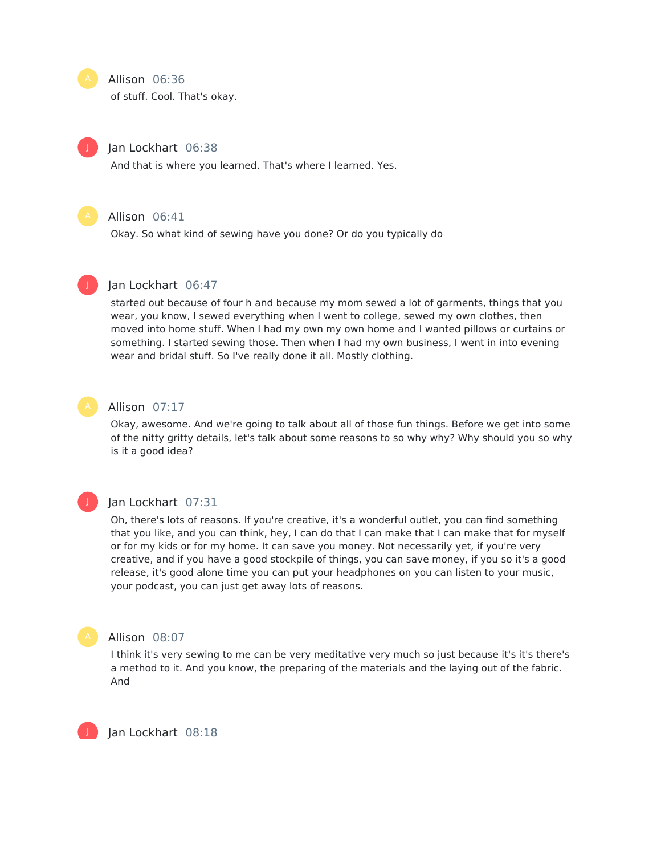#### Allison 06:36

of stuff. Cool. That's okay.

## Jan Lockhart 06:38

And that is where you learned. That's where I learned. Yes.



J

## Allison 06:41

Okay. So what kind of sewing have you done? Or do you typically do



## Jan Lockhart 06:47

started out because of four h and because my mom sewed a lot of garments, things that you wear, you know, I sewed everything when I went to college, sewed my own clothes, then moved into home stuff. When I had my own my own home and I wanted pillows or curtains or something. I started sewing those. Then when I had my own business, I went in into evening wear and bridal stuff. So I've really done it all. Mostly clothing.



#### Allison 07:17

Okay, awesome. And we're going to talk about all of those fun things. Before we get into some of the nitty gritty details, let's talk about some reasons to so why why? Why should you so why is it a good idea?



#### Jan Lockhart 07:31

Oh, there's lots of reasons. If you're creative, it's a wonderful outlet, you can find something that you like, and you can think, hey, I can do that I can make that I can make that for myself or for my kids or for my home. It can save you money. Not necessarily yet, if you're very creative, and if you have a good stockpile of things, you can save money, if you so it's a good release, it's good alone time you can put your headphones on you can listen to your music, your podcast, you can just get away lots of reasons.



## Allison 08:07

I think it's very sewing to me can be very meditative very much so just because it's it's there's a method to it. And you know, the preparing of the materials and the laying out of the fabric. And

Jan Lockhart 08:18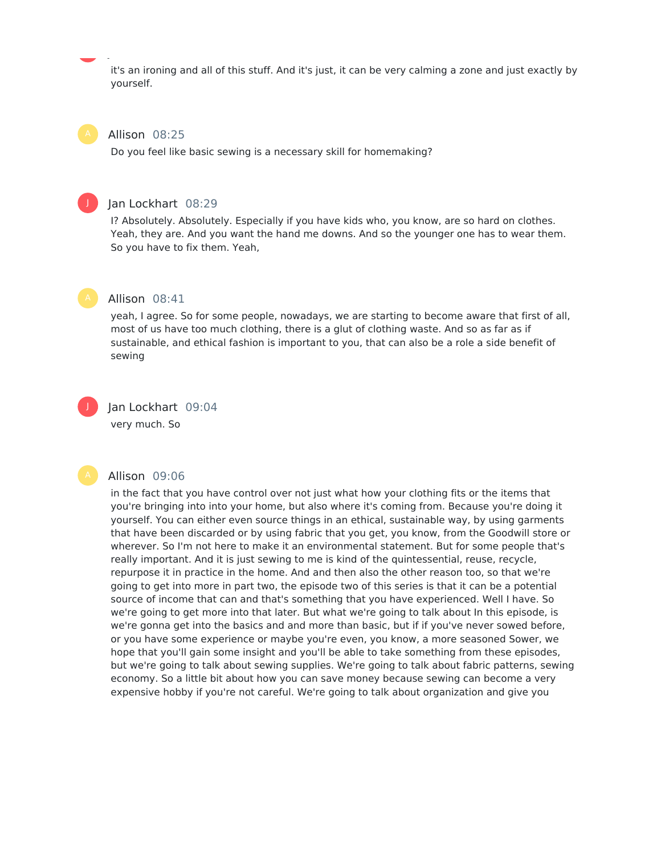it's an ironing and all of this stuff. And it's just, it can be very calming a zone and just exactly by yourself.

#### Allison 08:25

Do you feel like basic sewing is a necessary skill for homemaking?



#### Jan Lockhart 08:29

Jan Lockhart 08:18

I? Absolutely. Absolutely. Especially if you have kids who, you know, are so hard on clothes. Yeah, they are. And you want the hand me downs. And so the younger one has to wear them. So you have to fix them. Yeah,



yeah, I agree. So for some people, nowadays, we are starting to become aware that first of all, most of us have too much clothing, there is a glut of clothing waste. And so as far as if sustainable, and ethical fashion is important to you, that can also be a role a side benefit of sewing

J

## Jan Lockhart 09:04

very much. So

#### Allison 09:06

in the fact that you have control over not just what how your clothing fits or the items that you're bringing into into your home, but also where it's coming from. Because you're doing it yourself. You can either even source things in an ethical, sustainable way, by using garments that have been discarded or by using fabric that you get, you know, from the Goodwill store or wherever. So I'm not here to make it an environmental statement. But for some people that's really important. And it is just sewing to me is kind of the quintessential, reuse, recycle, repurpose it in practice in the home. And and then also the other reason too, so that we're going to get into more in part two, the episode two of this series is that it can be a potential source of income that can and that's something that you have experienced. Well I have. So we're going to get more into that later. But what we're going to talk about In this episode, is we're gonna get into the basics and and more than basic, but if if you've never sowed before, or you have some experience or maybe you're even, you know, a more seasoned Sower, we hope that you'll gain some insight and you'll be able to take something from these episodes, but we're going to talk about sewing supplies. We're going to talk about fabric patterns, sewing economy. So a little bit about how you can save money because sewing can become a very expensive hobby if you're not careful. We're going to talk about organization and give you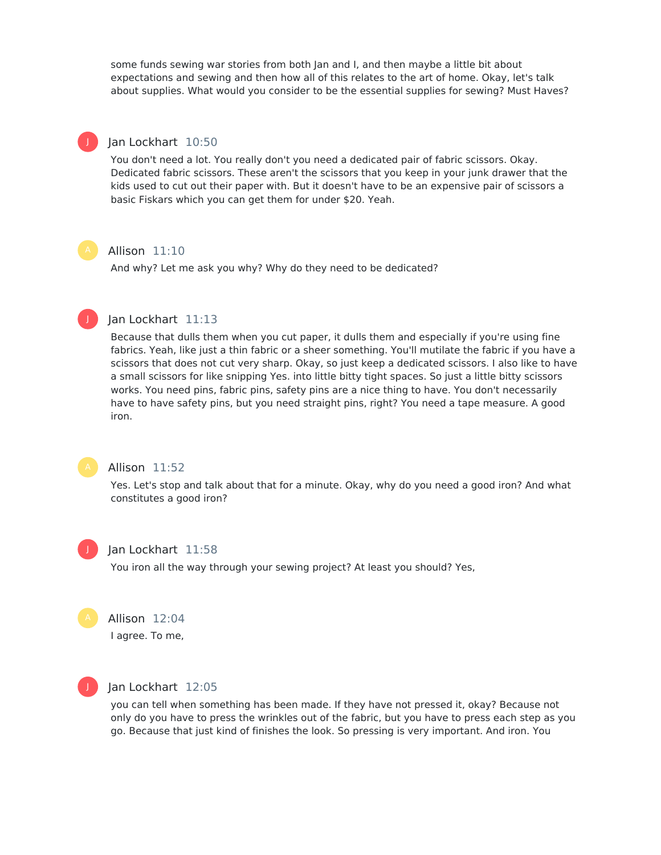some funds sewing war stories from both Jan and I, and then maybe a little bit about expectations and sewing and then how all of this relates to the art of home. Okay, let's talk about supplies. What would you consider to be the essential supplies for sewing? Must Haves?

## Jan Lockhart 10:50

You don't need a lot. You really don't you need a dedicated pair of fabric scissors. Okay. Dedicated fabric scissors. These aren't the scissors that you keep in your junk drawer that the kids used to cut out their paper with. But it doesn't have to be an expensive pair of scissors a basic Fiskars which you can get them for under \$20. Yeah.

## Allison 11:10

And why? Let me ask you why? Why do they need to be dedicated?



J

## Jan Lockhart 11:13

Because that dulls them when you cut paper, it dulls them and especially if you're using fine fabrics. Yeah, like just a thin fabric or a sheer something. You'll mutilate the fabric if you have a scissors that does not cut very sharp. Okay, so just keep a dedicated scissors. I also like to have a small scissors for like snipping Yes. into little bitty tight spaces. So just a little bitty scissors works. You need pins, fabric pins, safety pins are a nice thing to have. You don't necessarily have to have safety pins, but you need straight pins, right? You need a tape measure. A good iron.



## Allison 11:52

Yes. Let's stop and talk about that for a minute. Okay, why do you need a good iron? And what constitutes a good iron?



#### Jan Lockhart 11:58

You iron all the way through your sewing project? At least you should? Yes,

Allison 12:04

I agree. To me,



#### Jan Lockhart 12:05

you can tell when something has been made. If they have not pressed it, okay? Because not only do you have to press the wrinkles out of the fabric, but you have to press each step as you go. Because that just kind of finishes the look. So pressing is very important. And iron. You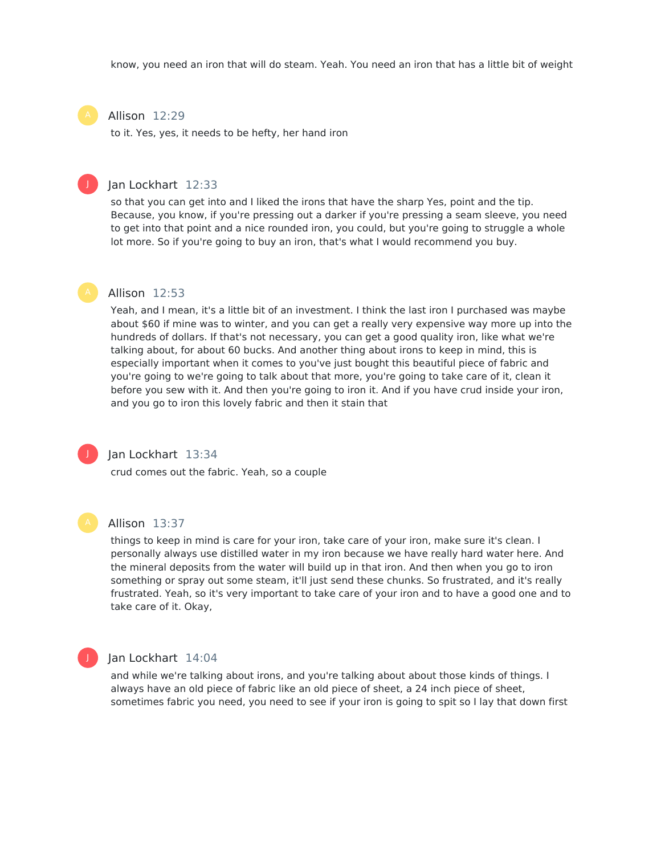know, you need an iron that will do steam. Yeah. You need an iron that has a little bit of weight

## Allison 12:29

to it. Yes, yes, it needs to be hefty, her hand iron

## Jan Lockhart 12:33

so that you can get into and I liked the irons that have the sharp Yes, point and the tip. Because, you know, if you're pressing out a darker if you're pressing a seam sleeve, you need to get into that point and a nice rounded iron, you could, but you're going to struggle a whole lot more. So if you're going to buy an iron, that's what I would recommend you buy.

#### Allison 12:53

Yeah, and I mean, it's a little bit of an investment. I think the last iron I purchased was maybe about \$60 if mine was to winter, and you can get a really very expensive way more up into the hundreds of dollars. If that's not necessary, you can get a good quality iron, like what we're talking about, for about 60 bucks. And another thing about irons to keep in mind, this is especially important when it comes to you've just bought this beautiful piece of fabric and you're going to we're going to talk about that more, you're going to take care of it, clean it before you sew with it. And then you're going to iron it. And if you have crud inside your iron, and you go to iron this lovely fabric and then it stain that



J

### Jan Lockhart 13:34

crud comes out the fabric. Yeah, so a couple



#### Allison 13:37

things to keep in mind is care for your iron, take care of your iron, make sure it's clean. I personally always use distilled water in my iron because we have really hard water here. And the mineral deposits from the water will build up in that iron. And then when you go to iron something or spray out some steam, it'll just send these chunks. So frustrated, and it's really frustrated. Yeah, so it's very important to take care of your iron and to have a good one and to take care of it. Okay,



#### Jan Lockhart 14:04

and while we're talking about irons, and you're talking about about those kinds of things. I always have an old piece of fabric like an old piece of sheet, a 24 inch piece of sheet, sometimes fabric you need, you need to see if your iron is going to spit so I lay that down first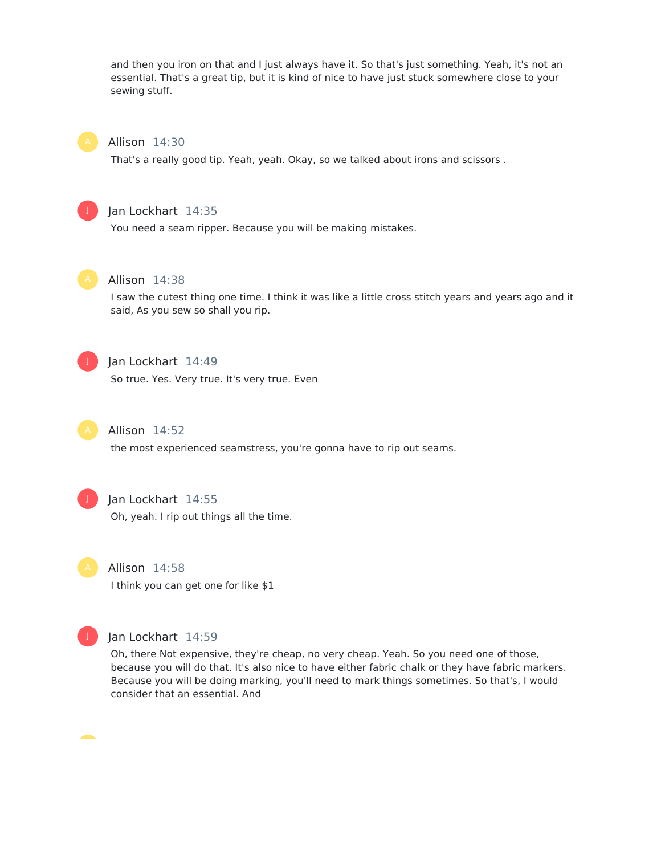and then you iron on that and I just always have it. So that's just something. Yeah, it's not an essential. That's a great tip, but it is kind of nice to have just stuck somewhere close to your sewing stuff.



### Allison 14:30

That's a really good tip. Yeah, yeah. Okay, so we talked about irons and scissors .



## Jan Lockhart 14:35

You need a seam ripper. Because you will be making mistakes.



#### Allison 14:38

I saw the cutest thing one time. I think it was like a little cross stitch years and years ago and it said, As you sew so shall you rip.



## Jan Lockhart 14:49

So true. Yes. Very true. It's very true. Even



## Allison 14:52

the most experienced seamstress, you're gonna have to rip out seams.



## Jan Lockhart 14:55

Oh, yeah. I rip out things all the time.



#### Allison 14:58

I think you can get one for like \$1



## Jan Lockhart 14:59

Oh, there Not expensive, they're cheap, no very cheap. Yeah. So you need one of those, because you will do that. It's also nice to have either fabric chalk or they have fabric markers. Because you will be doing marking, you'll need to mark things sometimes. So that's, I would consider that an essential. And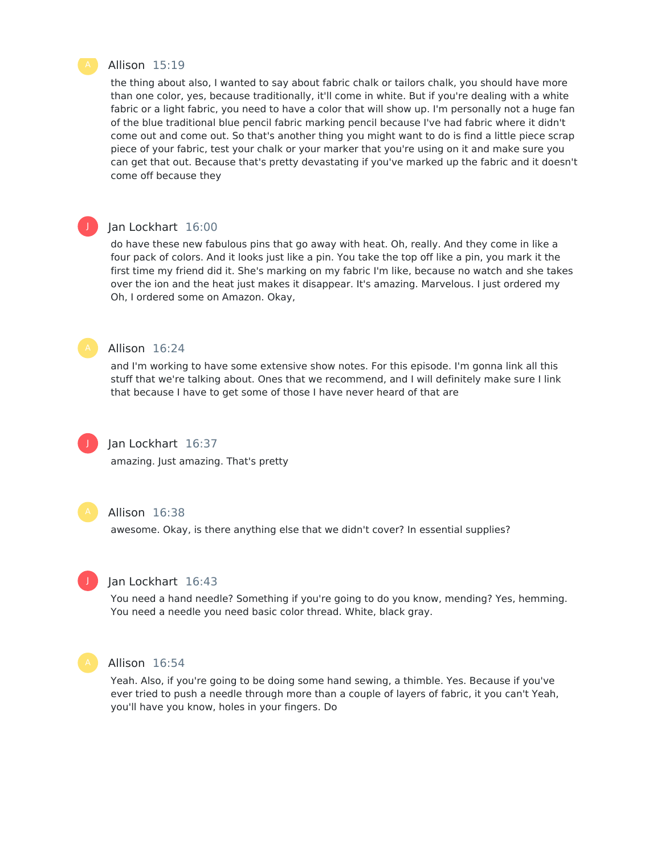

## Allison 15:19

the thing about also, I wanted to say about fabric chalk or tailors chalk, you should have more than one color, yes, because traditionally, it'll come in white. But if you're dealing with a white fabric or a light fabric, you need to have a color that will show up. I'm personally not a huge fan of the blue traditional blue pencil fabric marking pencil because I've had fabric where it didn't come out and come out. So that's another thing you might want to do is find a little piece scrap piece of your fabric, test your chalk or your marker that you're using on it and make sure you can get that out. Because that's pretty devastating if you've marked up the fabric and it doesn't come off because they

#### Jan Lockhart 16:00

do have these new fabulous pins that go away with heat. Oh, really. And they come in like a four pack of colors. And it looks just like a pin. You take the top off like a pin, you mark it the first time my friend did it. She's marking on my fabric I'm like, because no watch and she takes over the ion and the heat just makes it disappear. It's amazing. Marvelous. I just ordered my Oh, I ordered some on Amazon. Okay,

J

## Allison 16:24

and I'm working to have some extensive show notes. For this episode. I'm gonna link all this stuff that we're talking about. Ones that we recommend, and I will definitely make sure I link that because I have to get some of those I have never heard of that are



#### Jan Lockhart 16:37

amazing. Just amazing. That's pretty



## Allison 16:38

awesome. Okay, is there anything else that we didn't cover? In essential supplies?



#### Jan Lockhart 16:43

You need a hand needle? Something if you're going to do you know, mending? Yes, hemming. You need a needle you need basic color thread. White, black gray.



#### Allison 16:54

Yeah. Also, if you're going to be doing some hand sewing, a thimble. Yes. Because if you've ever tried to push a needle through more than a couple of layers of fabric, it you can't Yeah, you'll have you know, holes in your fingers. Do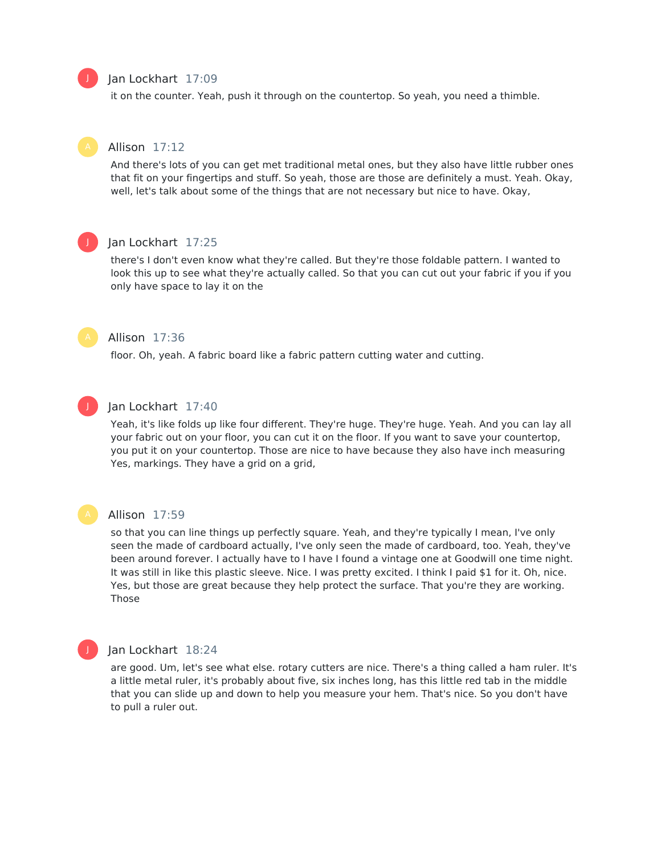## Jan Lockhart 17:09

it on the counter. Yeah, push it through on the countertop. So yeah, you need a thimble.



## Allison 17:12

And there's lots of you can get met traditional metal ones, but they also have little rubber ones that fit on your fingertips and stuff. So yeah, those are those are definitely a must. Yeah. Okay, well, let's talk about some of the things that are not necessary but nice to have. Okay,



## Jan Lockhart 17:25

there's I don't even know what they're called. But they're those foldable pattern. I wanted to look this up to see what they're actually called. So that you can cut out your fabric if you if you only have space to lay it on the



## Allison 17:36

floor. Oh, yeah. A fabric board like a fabric pattern cutting water and cutting.



#### Jan Lockhart 17:40

Yeah, it's like folds up like four different. They're huge. They're huge. Yeah. And you can lay all your fabric out on your floor, you can cut it on the floor. If you want to save your countertop, you put it on your countertop. Those are nice to have because they also have inch measuring Yes, markings. They have a grid on a grid,



#### Allison 17:59

so that you can line things up perfectly square. Yeah, and they're typically I mean, I've only seen the made of cardboard actually, I've only seen the made of cardboard, too. Yeah, they've been around forever. I actually have to I have I found a vintage one at Goodwill one time night. It was still in like this plastic sleeve. Nice. I was pretty excited. I think I paid \$1 for it. Oh, nice. Yes, but those are great because they help protect the surface. That you're they are working. Those



#### Jan Lockhart 18:24

are good. Um, let's see what else. rotary cutters are nice. There's a thing called a ham ruler. It's a little metal ruler, it's probably about five, six inches long, has this little red tab in the middle that you can slide up and down to help you measure your hem. That's nice. So you don't have to pull a ruler out.

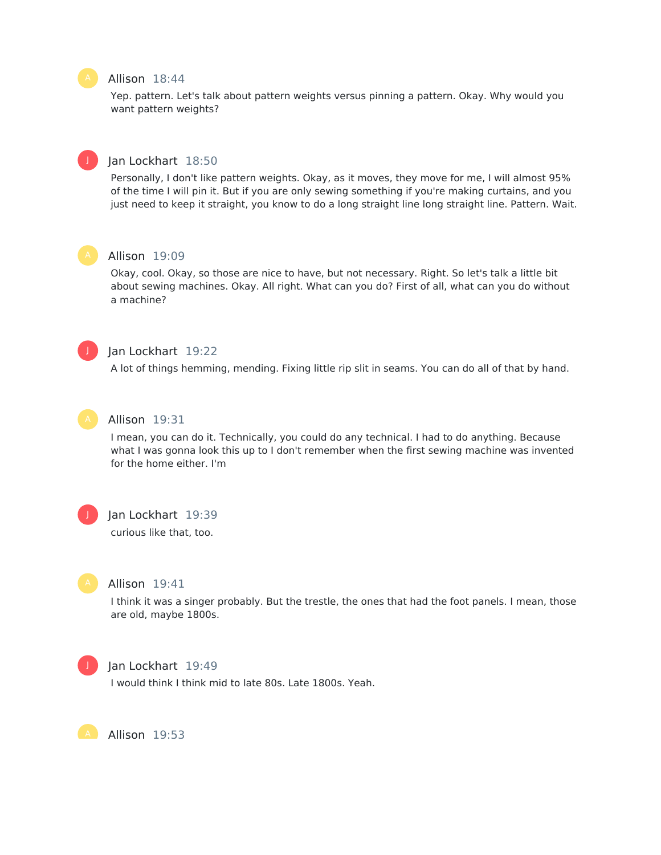## Allison 18:44

Yep. pattern. Let's talk about pattern weights versus pinning a pattern. Okay. Why would you want pattern weights?



Personally, I don't like pattern weights. Okay, as it moves, they move for me, I will almost 95% of the time I will pin it. But if you are only sewing something if you're making curtains, and you just need to keep it straight, you know to do a long straight line long straight line. Pattern. Wait.



J

## Allison 19:09

Okay, cool. Okay, so those are nice to have, but not necessary. Right. So let's talk a little bit about sewing machines. Okay. All right. What can you do? First of all, what can you do without a machine?



## Jan Lockhart 19:22

A lot of things hemming, mending. Fixing little rip slit in seams. You can do all of that by hand.



## Allison 19:31

I mean, you can do it. Technically, you could do any technical. I had to do anything. Because what I was gonna look this up to I don't remember when the first sewing machine was invented for the home either. I'm



#### Jan Lockhart 19:39

curious like that, too.



#### Allison 19:41

I think it was a singer probably. But the trestle, the ones that had the foot panels. I mean, those are old, maybe 1800s.



#### Jan Lockhart 19:49

I would think I think mid to late 80s. Late 1800s. Yeah.

Allison 19:53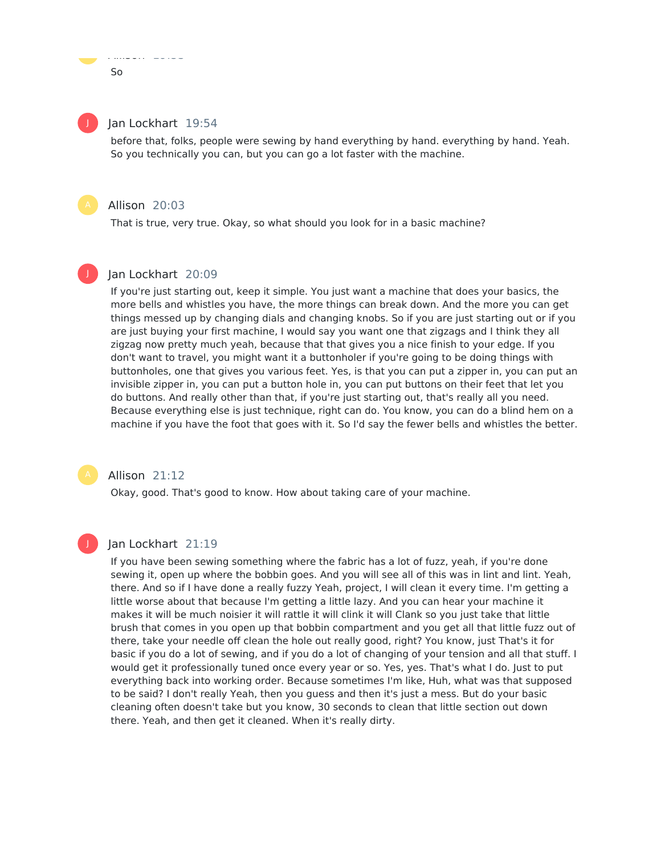## Jan Lockhart 19:54

Allison 19:53

before that, folks, people were sewing by hand everything by hand. everything by hand. Yeah. So you technically you can, but you can go a lot faster with the machine.

#### Allison 20:03

That is true, very true. Okay, so what should you look for in a basic machine?

## Jan Lockhart 20:09

If you're just starting out, keep it simple. You just want a machine that does your basics, the more bells and whistles you have, the more things can break down. And the more you can get things messed up by changing dials and changing knobs. So if you are just starting out or if you are just buying your first machine, I would say you want one that zigzags and I think they all zigzag now pretty much yeah, because that that gives you a nice finish to your edge. If you don't want to travel, you might want it a buttonholer if you're going to be doing things with buttonholes, one that gives you various feet. Yes, is that you can put a zipper in, you can put an invisible zipper in, you can put a button hole in, you can put buttons on their feet that let you do buttons. And really other than that, if you're just starting out, that's really all you need. Because everything else is just technique, right can do. You know, you can do a blind hem on a machine if you have the foot that goes with it. So I'd say the fewer bells and whistles the better.

## Allison 21:12

Okay, good. That's good to know. How about taking care of your machine.

## Jan Lockhart 21:19

If you have been sewing something where the fabric has a lot of fuzz, yeah, if you're done sewing it, open up where the bobbin goes. And you will see all of this was in lint and lint. Yeah, there. And so if I have done a really fuzzy Yeah, project, I will clean it every time. I'm getting a little worse about that because I'm getting a little lazy. And you can hear your machine it makes it will be much noisier it will rattle it will clink it will Clank so you just take that little brush that comes in you open up that bobbin compartment and you get all that little fuzz out of there, take your needle off clean the hole out really good, right? You know, just That's it for basic if you do a lot of sewing, and if you do a lot of changing of your tension and all that stuff. I would get it professionally tuned once every year or so. Yes, yes. That's what I do. Just to put everything back into working order. Because sometimes I'm like, Huh, what was that supposed to be said? I don't really Yeah, then you guess and then it's just a mess. But do your basic cleaning often doesn't take but you know, 30 seconds to clean that little section out down there. Yeah, and then get it cleaned. When it's really dirty.

 $S<sub>0</sub>$ 

J

J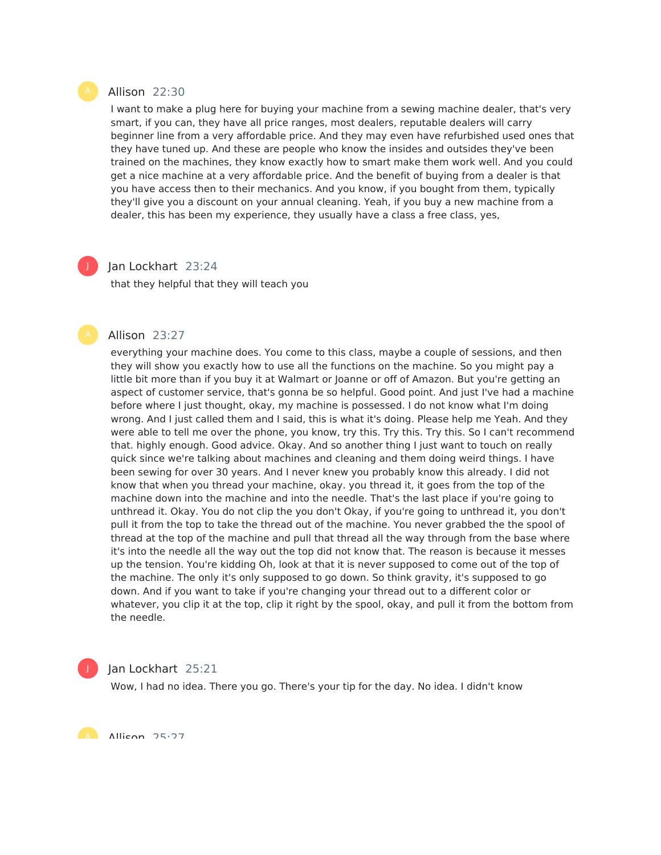#### Allison 22:30

I want to make a plug here for buying your machine from a sewing machine dealer, that's very smart, if you can, they have all price ranges, most dealers, reputable dealers will carry beginner line from a very affordable price. And they may even have refurbished used ones that they have tuned up. And these are people who know the insides and outsides they've been trained on the machines, they know exactly how to smart make them work well. And you could get a nice machine at a very affordable price. And the benefit of buying from a dealer is that you have access then to their mechanics. And you know, if you bought from them, typically they'll give you a discount on your annual cleaning. Yeah, if you buy a new machine from a dealer, this has been my experience, they usually have a class a free class, yes,

## Jan Lockhart 23:24

that they helpful that they will teach you

#### Allison 23:27

everything your machine does. You come to this class, maybe a couple of sessions, and then they will show you exactly how to use all the functions on the machine. So you might pay a little bit more than if you buy it at Walmart or Joanne or off of Amazon. But you're getting an aspect of customer service, that's gonna be so helpful. Good point. And just I've had a machine before where I just thought, okay, my machine is possessed. I do not know what I'm doing wrong. And I just called them and I said, this is what it's doing. Please help me Yeah. And they were able to tell me over the phone, you know, try this. Try this. Try this. So I can't recommend that. highly enough. Good advice. Okay. And so another thing I just want to touch on really quick since we're talking about machines and cleaning and them doing weird things. I have been sewing for over 30 years. And I never knew you probably know this already. I did not know that when you thread your machine, okay. you thread it, it goes from the top of the machine down into the machine and into the needle. That's the last place if you're going to unthread it. Okay. You do not clip the you don't Okay, if you're going to unthread it, you don't pull it from the top to take the thread out of the machine. You never grabbed the the spool of thread at the top of the machine and pull that thread all the way through from the base where it's into the needle all the way out the top did not know that. The reason is because it messes up the tension. You're kidding Oh, look at that it is never supposed to come out of the top of the machine. The only it's only supposed to go down. So think gravity, it's supposed to go down. And if you want to take if you're changing your thread out to a different color or whatever, you clip it at the top, clip it right by the spool, okay, and pull it from the bottom from the needle.



#### Jan Lockhart 25:21

Wow, I had no idea. There you go. There's your tip for the day. No idea. I didn't know

A Allican 25.27

J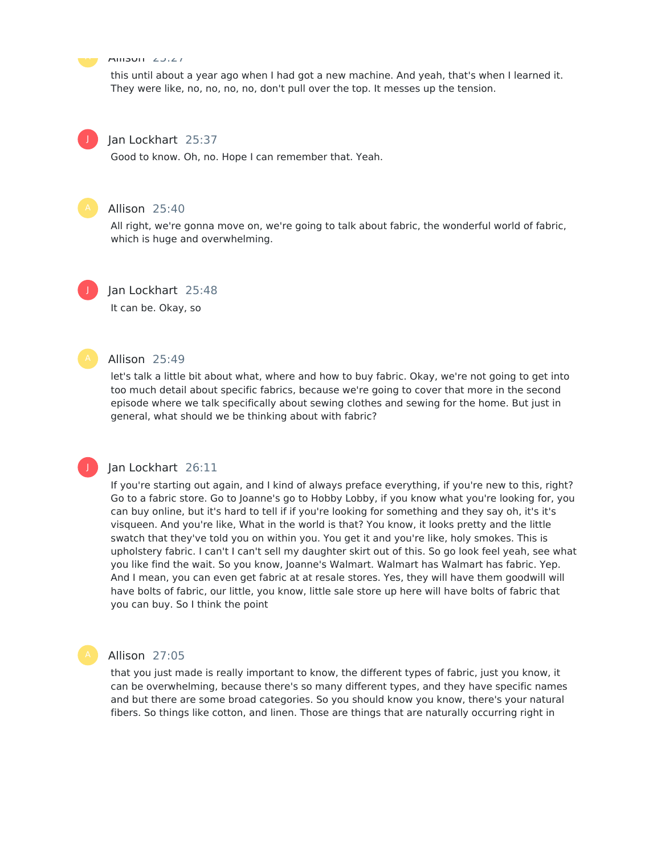Allison 25:27

this until about a year ago when I had got a new machine. And yeah, that's when I learned it. They were like, no, no, no, no, don't pull over the top. It messes up the tension.

# J

## Jan Lockhart 25:37

Good to know. Oh, no. Hope I can remember that. Yeah.



## Allison 25:40

All right, we're gonna move on, we're going to talk about fabric, the wonderful world of fabric, which is huge and overwhelming.



## Jan Lockhart 25:48

It can be. Okay, so

#### Allison 25:49

let's talk a little bit about what, where and how to buy fabric. Okay, we're not going to get into too much detail about specific fabrics, because we're going to cover that more in the second episode where we talk specifically about sewing clothes and sewing for the home. But just in general, what should we be thinking about with fabric?

# J

## Jan Lockhart 26:11

If you're starting out again, and I kind of always preface everything, if you're new to this, right? Go to a fabric store. Go to Joanne's go to Hobby Lobby, if you know what you're looking for, you can buy online, but it's hard to tell if if you're looking for something and they say oh, it's it's visqueen. And you're like, What in the world is that? You know, it looks pretty and the little swatch that they've told you on within you. You get it and you're like, holy smokes. This is upholstery fabric. I can't I can't sell my daughter skirt out of this. So go look feel yeah, see what you like find the wait. So you know, Joanne's Walmart. Walmart has Walmart has fabric. Yep. And I mean, you can even get fabric at at resale stores. Yes, they will have them goodwill will have bolts of fabric, our little, you know, little sale store up here will have bolts of fabric that you can buy. So I think the point



#### Allison 27:05

that you just made is really important to know, the different types of fabric, just you know, it can be overwhelming, because there's so many different types, and they have specific names and but there are some broad categories. So you should know you know, there's your natural fibers. So things like cotton, and linen. Those are things that are naturally occurring right in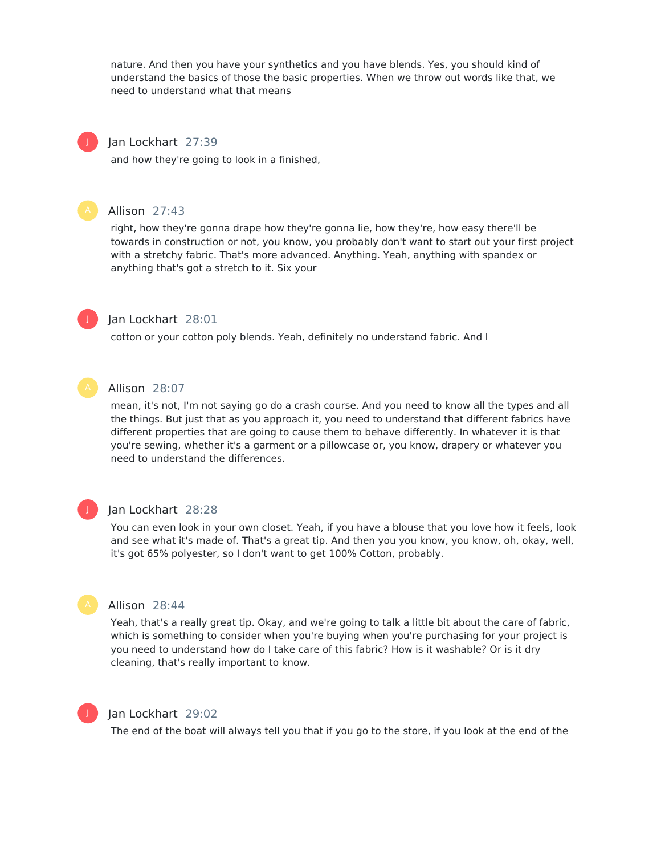nature. And then you have your synthetics and you have blends. Yes, you should kind of understand the basics of those the basic properties. When we throw out words like that, we need to understand what that means



## Jan Lockhart 27:39

and how they're going to look in a finished,



## Allison 27:43

right, how they're gonna drape how they're gonna lie, how they're, how easy there'll be towards in construction or not, you know, you probably don't want to start out your first project with a stretchy fabric. That's more advanced. Anything. Yeah, anything with spandex or anything that's got a stretch to it. Six your



## Jan Lockhart 28:01

cotton or your cotton poly blends. Yeah, definitely no understand fabric. And I



## Allison 28:07

mean, it's not, I'm not saying go do a crash course. And you need to know all the types and all the things. But just that as you approach it, you need to understand that different fabrics have different properties that are going to cause them to behave differently. In whatever it is that you're sewing, whether it's a garment or a pillowcase or, you know, drapery or whatever you need to understand the differences.



### Jan Lockhart 28:28

You can even look in your own closet. Yeah, if you have a blouse that you love how it feels, look and see what it's made of. That's a great tip. And then you you know, you know, oh, okay, well, it's got 65% polyester, so I don't want to get 100% Cotton, probably.



#### Allison 28:44

Yeah, that's a really great tip. Okay, and we're going to talk a little bit about the care of fabric, which is something to consider when you're buying when you're purchasing for your project is you need to understand how do I take care of this fabric? How is it washable? Or is it dry cleaning, that's really important to know.



## Jan Lockhart 29:02

The end of the boat will always tell you that if you go to the store, if you look at the end of the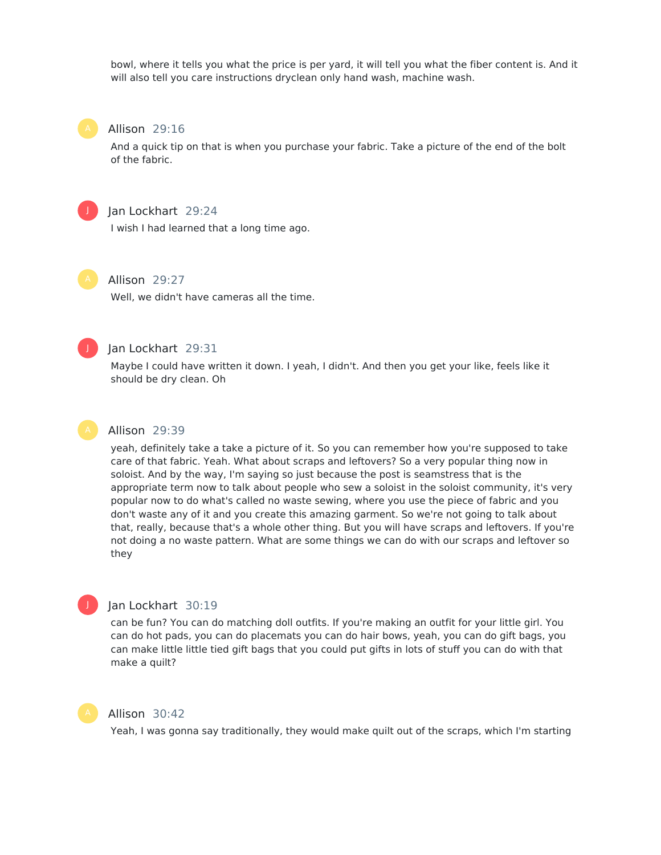bowl, where it tells you what the price is per yard, it will tell you what the fiber content is. And it will also tell you care instructions dryclean only hand wash, machine wash.

#### Allison 29:16

And a quick tip on that is when you purchase your fabric. Take a picture of the end of the bolt of the fabric.



#### Jan Lockhart 29:24

I wish I had learned that a long time ago.



## Allison 29:27

Well, we didn't have cameras all the time.



## Jan Lockhart 29:31

Maybe I could have written it down. I yeah, I didn't. And then you get your like, feels like it should be dry clean. Oh



#### Allison 29:39

yeah, definitely take a take a picture of it. So you can remember how you're supposed to take care of that fabric. Yeah. What about scraps and leftovers? So a very popular thing now in soloist. And by the way, I'm saying so just because the post is seamstress that is the appropriate term now to talk about people who sew a soloist in the soloist community, it's very popular now to do what's called no waste sewing, where you use the piece of fabric and you don't waste any of it and you create this amazing garment. So we're not going to talk about that, really, because that's a whole other thing. But you will have scraps and leftovers. If you're not doing a no waste pattern. What are some things we can do with our scraps and leftover so they



## Jan Lockhart 30:19

can be fun? You can do matching doll outfits. If you're making an outfit for your little girl. You can do hot pads, you can do placemats you can do hair bows, yeah, you can do gift bags, you can make little little tied gift bags that you could put gifts in lots of stuff you can do with that make a quilt?



## Allison 30:42

Yeah, I was gonna say traditionally, they would make quilt out of the scraps, which I'm starting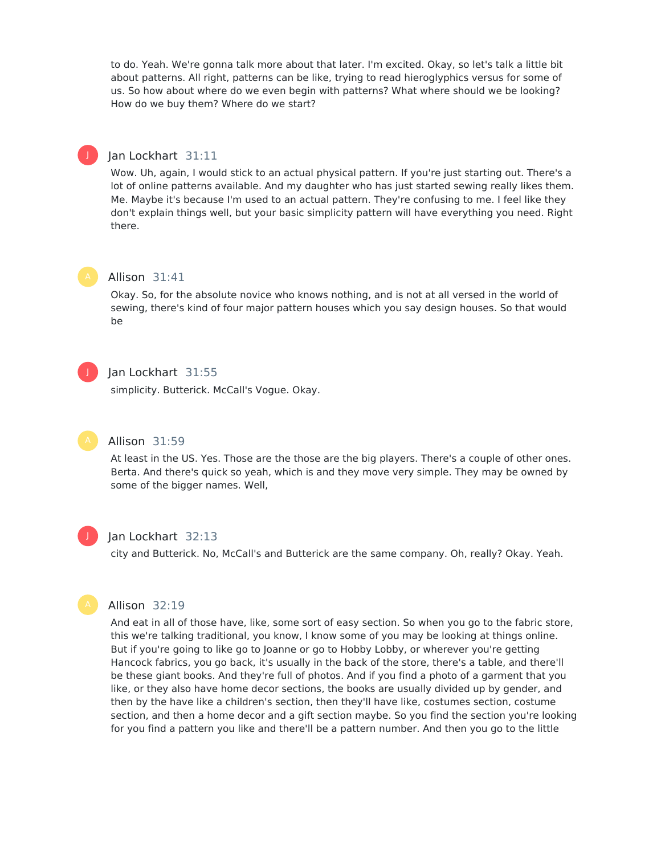to do. Yeah. We're gonna talk more about that later. I'm excited. Okay, so let's talk a little bit about patterns. All right, patterns can be like, trying to read hieroglyphics versus for some of us. So how about where do we even begin with patterns? What where should we be looking? How do we buy them? Where do we start?

## Jan Lockhart 31:11

Wow. Uh, again, I would stick to an actual physical pattern. If you're just starting out. There's a lot of online patterns available. And my daughter who has just started sewing really likes them. Me. Maybe it's because I'm used to an actual pattern. They're confusing to me. I feel like they don't explain things well, but your basic simplicity pattern will have everything you need. Right there.



J

#### Allison 31:41

Okay. So, for the absolute novice who knows nothing, and is not at all versed in the world of sewing, there's kind of four major pattern houses which you say design houses. So that would be



## Jan Lockhart 31:55

simplicity. Butterick. McCall's Vogue. Okay.

### Allison 31:59

At least in the US. Yes. Those are the those are the big players. There's a couple of other ones. Berta. And there's quick so yeah, which is and they move very simple. They may be owned by some of the bigger names. Well,



#### Jan Lockhart 32:13

city and Butterick. No, McCall's and Butterick are the same company. Oh, really? Okay. Yeah.



## Allison 32:19

And eat in all of those have, like, some sort of easy section. So when you go to the fabric store, this we're talking traditional, you know, I know some of you may be looking at things online. But if you're going to like go to Joanne or go to Hobby Lobby, or wherever you're getting Hancock fabrics, you go back, it's usually in the back of the store, there's a table, and there'll be these giant books. And they're full of photos. And if you find a photo of a garment that you like, or they also have home decor sections, the books are usually divided up by gender, and then by the have like a children's section, then they'll have like, costumes section, costume section, and then a home decor and a gift section maybe. So you find the section you're looking for you find a pattern you like and there'll be a pattern number. And then you go to the little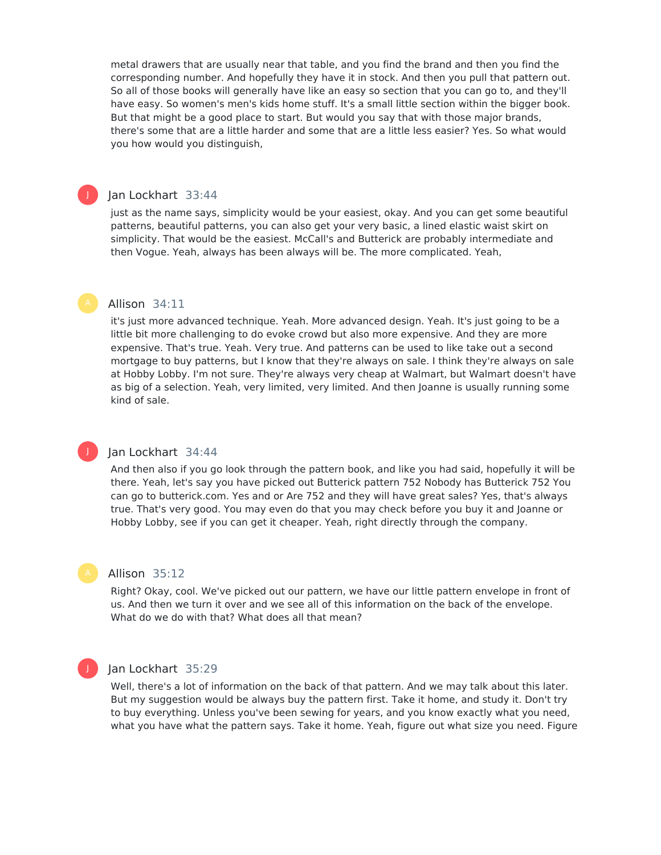metal drawers that are usually near that table, and you find the brand and then you find the corresponding number. And hopefully they have it in stock. And then you pull that pattern out. So all of those books will generally have like an easy so section that you can go to, and they'll have easy. So women's men's kids home stuff. It's a small little section within the bigger book. But that might be a good place to start. But would you say that with those major brands, there's some that are a little harder and some that are a little less easier? Yes. So what would you how would you distinguish,

## Jan Lockhart 33:44

J

just as the name says, simplicity would be your easiest, okay. And you can get some beautiful patterns, beautiful patterns, you can also get your very basic, a lined elastic waist skirt on simplicity. That would be the easiest. McCall's and Butterick are probably intermediate and then Vogue. Yeah, always has been always will be. The more complicated. Yeah,

#### Allison 34:11

it's just more advanced technique. Yeah. More advanced design. Yeah. It's just going to be a little bit more challenging to do evoke crowd but also more expensive. And they are more expensive. That's true. Yeah. Very true. And patterns can be used to like take out a second mortgage to buy patterns, but I know that they're always on sale. I think they're always on sale at Hobby Lobby. I'm not sure. They're always very cheap at Walmart, but Walmart doesn't have as big of a selection. Yeah, very limited, very limited. And then Joanne is usually running some kind of sale.

## Jan Lockhart 34:44

And then also if you go look through the pattern book, and like you had said, hopefully it will be there. Yeah, let's say you have picked out Butterick pattern 752 Nobody has Butterick 752 You can go to butterick.com. Yes and or Are 752 and they will have great sales? Yes, that's always true. That's very good. You may even do that you may check before you buy it and Joanne or Hobby Lobby, see if you can get it cheaper. Yeah, right directly through the company.



J

#### Allison 35:12

Right? Okay, cool. We've picked out our pattern, we have our little pattern envelope in front of us. And then we turn it over and we see all of this information on the back of the envelope. What do we do with that? What does all that mean?



#### Jan Lockhart 35:29

Well, there's a lot of information on the back of that pattern. And we may talk about this later. But my suggestion would be always buy the pattern first. Take it home, and study it. Don't try to buy everything. Unless you've been sewing for years, and you know exactly what you need, what you have what the pattern says. Take it home. Yeah, figure out what size you need. Figure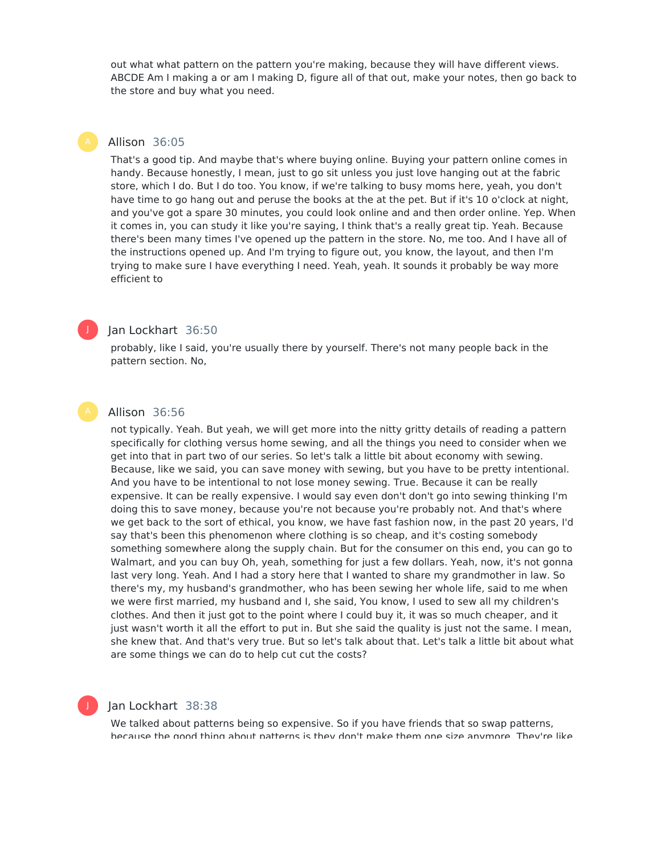out what what pattern on the pattern you're making, because they will have different views. ABCDE Am I making a or am I making D, figure all of that out, make your notes, then go back to the store and buy what you need.

## Allison 36:05

That's a good tip. And maybe that's where buying online. Buying your pattern online comes in handy. Because honestly, I mean, just to go sit unless you just love hanging out at the fabric store, which I do. But I do too. You know, if we're talking to busy moms here, yeah, you don't have time to go hang out and peruse the books at the at the pet. But if it's 10 o'clock at night, and you've got a spare 30 minutes, you could look online and and then order online. Yep. When it comes in, you can study it like you're saying, I think that's a really great tip. Yeah. Because there's been many times I've opened up the pattern in the store. No, me too. And I have all of the instructions opened up. And I'm trying to figure out, you know, the layout, and then I'm trying to make sure I have everything I need. Yeah, yeah. It sounds it probably be way more efficient to



#### Jan Lockhart 36:50

probably, like I said, you're usually there by yourself. There's not many people back in the pattern section. No,

## Allison 36:56

not typically. Yeah. But yeah, we will get more into the nitty gritty details of reading a pattern specifically for clothing versus home sewing, and all the things you need to consider when we get into that in part two of our series. So let's talk a little bit about economy with sewing. Because, like we said, you can save money with sewing, but you have to be pretty intentional. And you have to be intentional to not lose money sewing. True. Because it can be really expensive. It can be really expensive. I would say even don't don't go into sewing thinking I'm doing this to save money, because you're not because you're probably not. And that's where we get back to the sort of ethical, you know, we have fast fashion now, in the past 20 years, I'd say that's been this phenomenon where clothing is so cheap, and it's costing somebody something somewhere along the supply chain. But for the consumer on this end, you can go to Walmart, and you can buy Oh, yeah, something for just a few dollars. Yeah, now, it's not gonna last very long. Yeah. And I had a story here that I wanted to share my grandmother in law. So there's my, my husband's grandmother, who has been sewing her whole life, said to me when we were first married, my husband and I, she said, You know, I used to sew all my children's clothes. And then it just got to the point where I could buy it, it was so much cheaper, and it just wasn't worth it all the effort to put in. But she said the quality is just not the same. I mean, she knew that. And that's very true. But so let's talk about that. Let's talk a little bit about what are some things we can do to help cut cut the costs?

## Jan Lockhart 38:38

We talked about patterns being so expensive. So if you have friends that so swap patterns, because the good thing about patterns is they don't make them one size anymore. They're like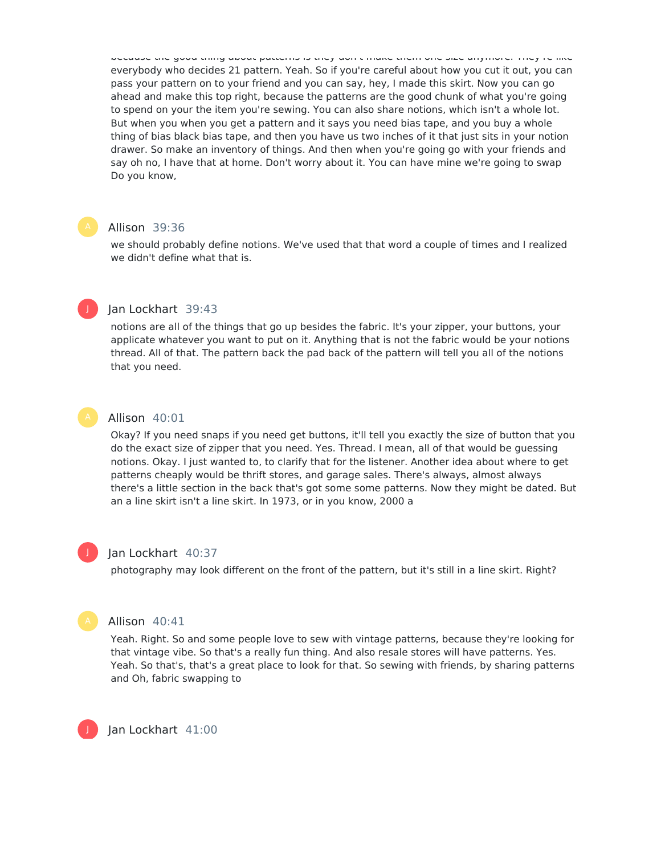because the good thing about patterns is they don't make them one size anymore. They're like everybody who decides 21 pattern. Yeah. So if you're careful about how you cut it out, you can pass your pattern on to your friend and you can say, hey, I made this skirt. Now you can go ahead and make this top right, because the patterns are the good chunk of what you're going to spend on your the item you're sewing. You can also share notions, which isn't a whole lot. But when you when you get a pattern and it says you need bias tape, and you buy a whole thing of bias black bias tape, and then you have us two inches of it that just sits in your notion drawer. So make an inventory of things. And then when you're going go with your friends and say oh no, I have that at home. Don't worry about it. You can have mine we're going to swap Do you know,

#### Allison 39:36

we should probably define notions. We've used that that word a couple of times and I realized we didn't define what that is.



## Jan Lockhart 39:43

notions are all of the things that go up besides the fabric. It's your zipper, your buttons, your applicate whatever you want to put on it. Anything that is not the fabric would be your notions thread. All of that. The pattern back the pad back of the pattern will tell you all of the notions that you need.



## Allison 40:01

Okay? If you need snaps if you need get buttons, it'll tell you exactly the size of button that you do the exact size of zipper that you need. Yes. Thread. I mean, all of that would be guessing notions. Okay. I just wanted to, to clarify that for the listener. Another idea about where to get patterns cheaply would be thrift stores, and garage sales. There's always, almost always there's a little section in the back that's got some some patterns. Now they might be dated. But an a line skirt isn't a line skirt. In 1973, or in you know, 2000 a



#### Jan Lockhart 40:37

photography may look different on the front of the pattern, but it's still in a line skirt. Right?



#### Allison 40:41

Yeah. Right. So and some people love to sew with vintage patterns, because they're looking for that vintage vibe. So that's a really fun thing. And also resale stores will have patterns. Yes. Yeah. So that's, that's a great place to look for that. So sewing with friends, by sharing patterns and Oh, fabric swapping to

Jan Lockhart 41:00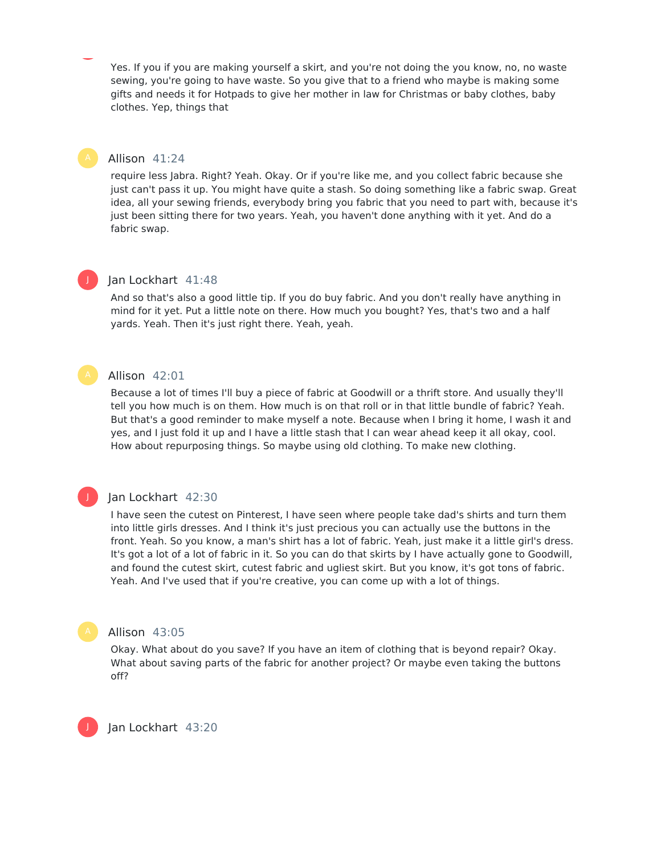Yes. If you if you are making yourself a skirt, and you're not doing the you know, no, no waste sewing, you're going to have waste. So you give that to a friend who maybe is making some gifts and needs it for Hotpads to give her mother in law for Christmas or baby clothes, baby clothes. Yep, things that

#### Allison 41:24

require less Jabra. Right? Yeah. Okay. Or if you're like me, and you collect fabric because she just can't pass it up. You might have quite a stash. So doing something like a fabric swap. Great idea, all your sewing friends, everybody bring you fabric that you need to part with, because it's just been sitting there for two years. Yeah, you haven't done anything with it yet. And do a fabric swap.



J

### Jan Lockhart 41:48

And so that's also a good little tip. If you do buy fabric. And you don't really have anything in mind for it yet. Put a little note on there. How much you bought? Yes, that's two and a half yards. Yeah. Then it's just right there. Yeah, yeah.

#### Allison 42:01

Because a lot of times I'll buy a piece of fabric at Goodwill or a thrift store. And usually they'll tell you how much is on them. How much is on that roll or in that little bundle of fabric? Yeah. But that's a good reminder to make myself a note. Because when I bring it home, I wash it and yes, and I just fold it up and I have a little stash that I can wear ahead keep it all okay, cool. How about repurposing things. So maybe using old clothing. To make new clothing.

#### Jan Lockhart 42:30

I have seen the cutest on Pinterest, I have seen where people take dad's shirts and turn them into little girls dresses. And I think it's just precious you can actually use the buttons in the front. Yeah. So you know, a man's shirt has a lot of fabric. Yeah, just make it a little girl's dress. It's got a lot of a lot of fabric in it. So you can do that skirts by I have actually gone to Goodwill, and found the cutest skirt, cutest fabric and ugliest skirt. But you know, it's got tons of fabric. Yeah. And I've used that if you're creative, you can come up with a lot of things.

#### Allison 43:05

Okay. What about do you save? If you have an item of clothing that is beyond repair? Okay. What about saving parts of the fabric for another project? Or maybe even taking the buttons off?

Jan Lockhart 43:20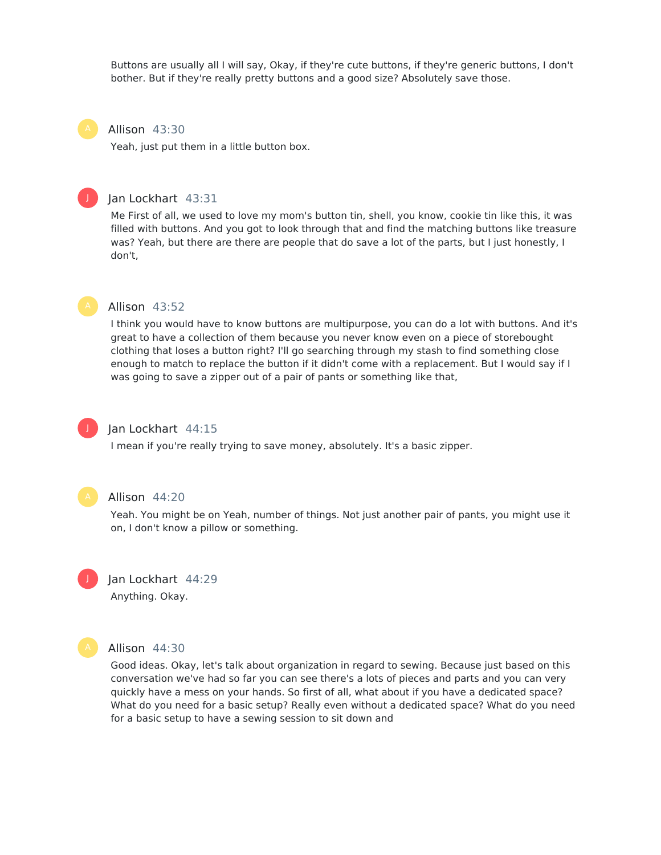Buttons are usually all I will say, Okay, if they're cute buttons, if they're generic buttons, I don't bother. But if they're really pretty buttons and a good size? Absolutely save those.

#### Allison 43:30

Yeah, just put them in a little button box.

#### Jan Lockhart 43:31

Me First of all, we used to love my mom's button tin, shell, you know, cookie tin like this, it was filled with buttons. And you got to look through that and find the matching buttons like treasure was? Yeah, but there are there are people that do save a lot of the parts, but I just honestly, I don't,



J

#### Allison 43:52

I think you would have to know buttons are multipurpose, you can do a lot with buttons. And it's great to have a collection of them because you never know even on a piece of storebought clothing that loses a button right? I'll go searching through my stash to find something close enough to match to replace the button if it didn't come with a replacement. But I would say if I was going to save a zipper out of a pair of pants or something like that,



## Jan Lockhart 44:15

I mean if you're really trying to save money, absolutely. It's a basic zipper.



#### Allison 44:20

Yeah. You might be on Yeah, number of things. Not just another pair of pants, you might use it on, I don't know a pillow or something.



# Jan Lockhart 44:29

Anything. Okay.



#### Allison 44:30

Good ideas. Okay, let's talk about organization in regard to sewing. Because just based on this conversation we've had so far you can see there's a lots of pieces and parts and you can very quickly have a mess on your hands. So first of all, what about if you have a dedicated space? What do you need for a basic setup? Really even without a dedicated space? What do you need for a basic setup to have a sewing session to sit down and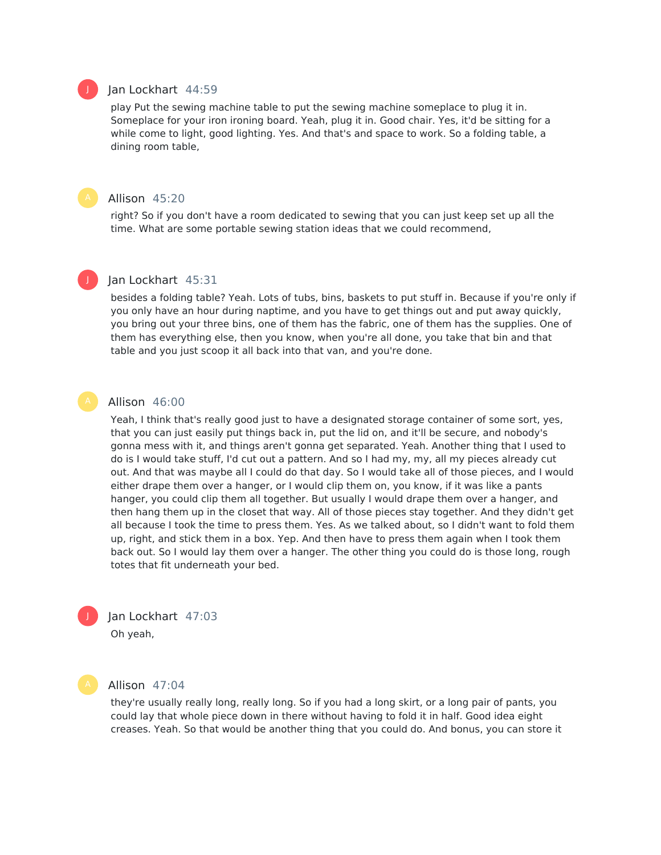#### Jan Lockhart 44:59

play Put the sewing machine table to put the sewing machine someplace to plug it in. Someplace for your iron ironing board. Yeah, plug it in. Good chair. Yes, it'd be sitting for a while come to light, good lighting. Yes. And that's and space to work. So a folding table, a dining room table,

## Allison 45:20

right? So if you don't have a room dedicated to sewing that you can just keep set up all the time. What are some portable sewing station ideas that we could recommend,

## Jan Lockhart 45:31

besides a folding table? Yeah. Lots of tubs, bins, baskets to put stuff in. Because if you're only if you only have an hour during naptime, and you have to get things out and put away quickly, you bring out your three bins, one of them has the fabric, one of them has the supplies. One of them has everything else, then you know, when you're all done, you take that bin and that table and you just scoop it all back into that van, and you're done.

J

#### Allison 46:00

Yeah, I think that's really good just to have a designated storage container of some sort, yes, that you can just easily put things back in, put the lid on, and it'll be secure, and nobody's gonna mess with it, and things aren't gonna get separated. Yeah. Another thing that I used to do is I would take stuff, I'd cut out a pattern. And so I had my, my, all my pieces already cut out. And that was maybe all I could do that day. So I would take all of those pieces, and I would either drape them over a hanger, or I would clip them on, you know, if it was like a pants hanger, you could clip them all together. But usually I would drape them over a hanger, and then hang them up in the closet that way. All of those pieces stay together. And they didn't get all because I took the time to press them. Yes. As we talked about, so I didn't want to fold them up, right, and stick them in a box. Yep. And then have to press them again when I took them back out. So I would lay them over a hanger. The other thing you could do is those long, rough totes that fit underneath your bed.

Jan Lockhart 47:03

Oh yeah,



J

#### Allison 47:04

they're usually really long, really long. So if you had a long skirt, or a long pair of pants, you could lay that whole piece down in there without having to fold it in half. Good idea eight creases. Yeah. So that would be another thing that you could do. And bonus, you can store it

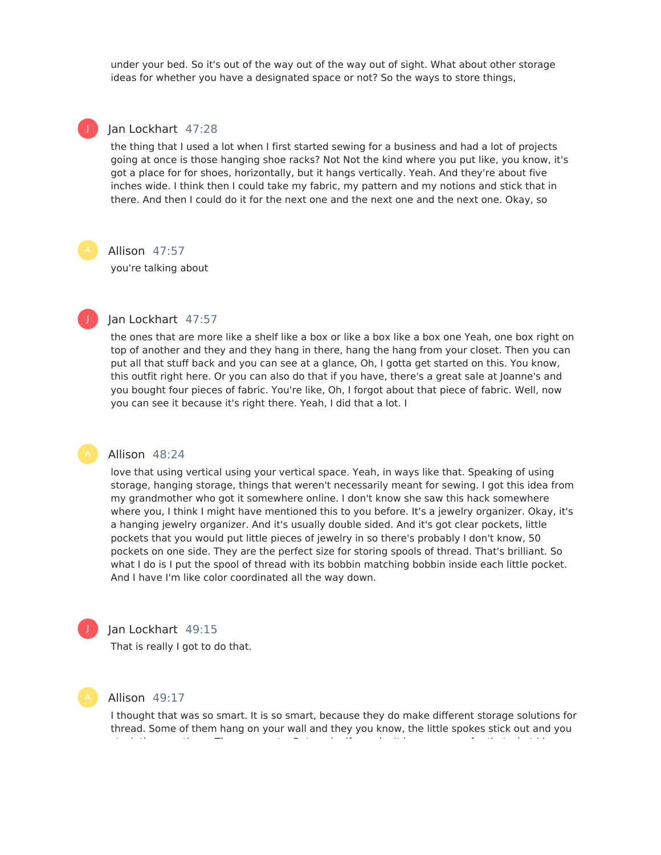under your bed. So it's out of the way out of the way out of sight. What about other storage ideas for whether you have a designated space or not? So the ways to store things,

# J

#### Jan Lockhart 47:28

the thing that I used a lot when I first started sewing for a business and had a lot of projects going at once is those hanging shoe racks? Not Not the kind where you put like, you know, it's got a place for for shoes, horizontally, but it hangs vertically. Yeah. And they're about five inches wide. I think then I could take my fabric, my pattern and my notions and stick that in there. And then I could do it for the next one and the next one and the next one. Okay, so

## Allison 47:57

you're talking about



## Jan Lockhart 47:57

the ones that are more like a shelf like a box or like a box like a box one Yeah, one box right on top of another and they and they hang in there, hang the hang from your closet. Then you can put all that stuff back and you can see at a glance, Oh, I gotta get started on this. You know, this outfit right here. Or you can also do that if you have, there's a great sale at Joanne's and you bought four pieces of fabric. You're like, Oh, I forgot about that piece of fabric. Well, now you can see it because it's right there. Yeah, I did that a lot. I

#### Allison 48:24

love that using vertical using your vertical space. Yeah, in ways like that. Speaking of using storage, hanging storage, things that weren't necessarily meant for sewing. I got this idea from my grandmother who got it somewhere online. I don't know she saw this hack somewhere where you, I think I might have mentioned this to you before. It's a jewelry organizer. Okay, it's a hanging jewelry organizer. And it's usually double sided. And it's got clear pockets, little pockets that you would put little pieces of jewelry in so there's probably I don't know, 50 pockets on one side. They are the perfect size for storing spools of thread. That's brilliant. So what I do is I put the spool of thread with its bobbin matching bobbin inside each little pocket. And I have I'm like color coordinated all the way down.



## Jan Lockhart 49:15

That is really I got to do that.



#### Allison 49:17

I thought that was so smart. It is so smart, because they do make different storage solutions for thread. Some of them hang on your wall and they you know, the little spokes stick out and you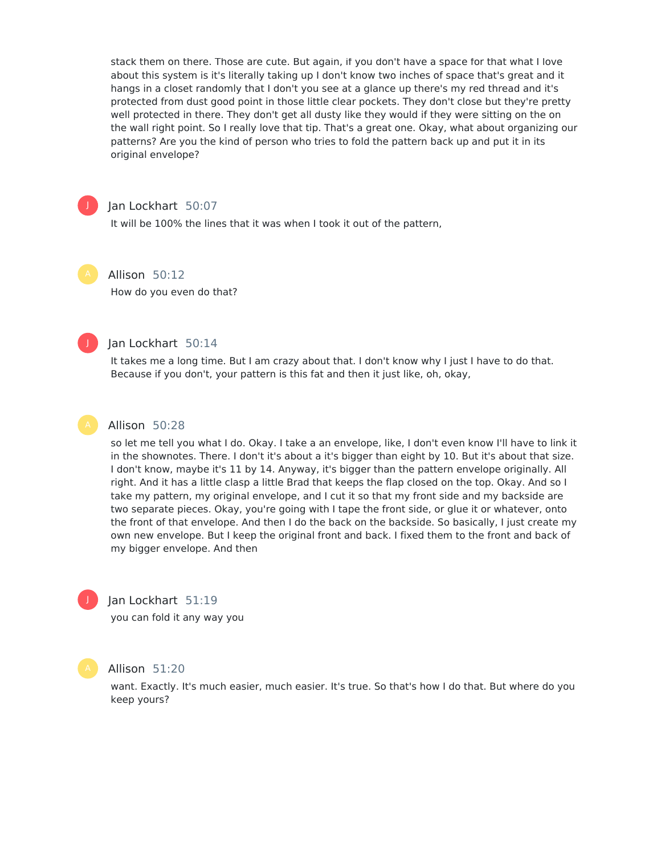stack them on there. Those are cute. But again, if you don't have a space for that what I love about this system is it's literally taking up I don't know two inches of space that's great and it hangs in a closet randomly that I don't you see at a glance up there's my red thread and it's protected from dust good point in those little clear pockets. They don't close but they're pretty well protected in there. They don't get all dusty like they would if they were sitting on the on the wall right point. So I really love that tip. That's a great one. Okay, what about organizing our patterns? Are you the kind of person who tries to fold the pattern back up and put it in its original envelope?



## Jan Lockhart 50:07

It will be 100% the lines that it was when I took it out of the pattern,

Allison 50:12

How do you even do that?



## Jan Lockhart 50:14

It takes me a long time. But I am crazy about that. I don't know why I just I have to do that. Because if you don't, your pattern is this fat and then it just like, oh, okay,



#### Allison 50:28

so let me tell you what I do. Okay. I take a an envelope, like, I don't even know I'll have to link it in the shownotes. There. I don't it's about a it's bigger than eight by 10. But it's about that size. I don't know, maybe it's 11 by 14. Anyway, it's bigger than the pattern envelope originally. All right. And it has a little clasp a little Brad that keeps the flap closed on the top. Okay. And so I take my pattern, my original envelope, and I cut it so that my front side and my backside are two separate pieces. Okay, you're going with I tape the front side, or glue it or whatever, onto the front of that envelope. And then I do the back on the backside. So basically, I just create my own new envelope. But I keep the original front and back. I fixed them to the front and back of my bigger envelope. And then



## Jan Lockhart 51:19

you can fold it any way you



## Allison 51:20

want. Exactly. It's much easier, much easier. It's true. So that's how I do that. But where do you keep yours?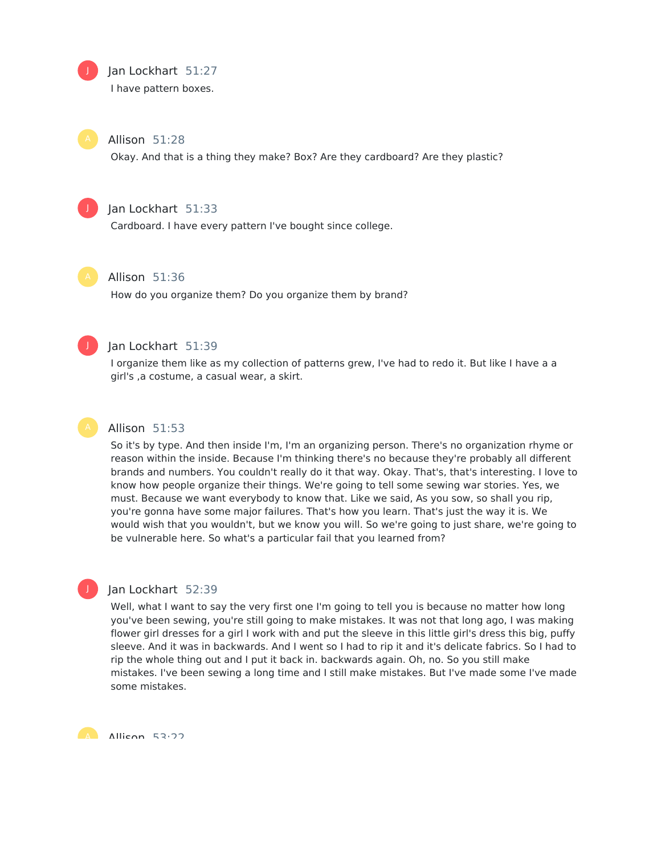## Jan Lockhart 51:27

I have pattern boxes.

Allison 51:28

Okay. And that is a thing they make? Box? Are they cardboard? Are they plastic?



J

## Jan Lockhart 51:33

Cardboard. I have every pattern I've bought since college.



## Allison 51:36

How do you organize them? Do you organize them by brand?



## Jan Lockhart 51:39

I organize them like as my collection of patterns grew, I've had to redo it. But like I have a a girl's ,a costume, a casual wear, a skirt.



J

### Allison 51:53

So it's by type. And then inside I'm, I'm an organizing person. There's no organization rhyme or reason within the inside. Because I'm thinking there's no because they're probably all different brands and numbers. You couldn't really do it that way. Okay. That's, that's interesting. I love to know how people organize their things. We're going to tell some sewing war stories. Yes, we must. Because we want everybody to know that. Like we said, As you sow, so shall you rip, you're gonna have some major failures. That's how you learn. That's just the way it is. We would wish that you wouldn't, but we know you will. So we're going to just share, we're going to be vulnerable here. So what's a particular fail that you learned from?

## Jan Lockhart 52:39

Well, what I want to say the very first one I'm going to tell you is because no matter how long you've been sewing, you're still going to make mistakes. It was not that long ago, I was making flower girl dresses for a girl I work with and put the sleeve in this little girl's dress this big, puffy sleeve. And it was in backwards. And I went so I had to rip it and it's delicate fabrics. So I had to rip the whole thing out and I put it back in. backwards again. Oh, no. So you still make mistakes. I've been sewing a long time and I still make mistakes. But I've made some I've made some mistakes.

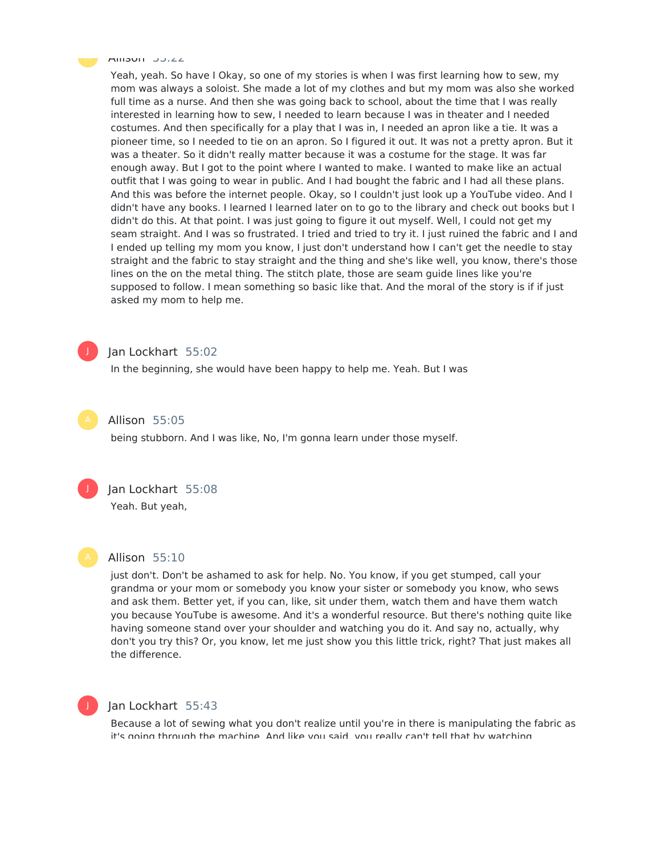

#### Allisul JJ.22

Yeah, yeah. So have I Okay, so one of my stories is when I was first learning how to sew, my mom was always a soloist. She made a lot of my clothes and but my mom was also she worked full time as a nurse. And then she was going back to school, about the time that I was really interested in learning how to sew, I needed to learn because I was in theater and I needed costumes. And then specifically for a play that I was in, I needed an apron like a tie. It was a pioneer time, so I needed to tie on an apron. So I figured it out. It was not a pretty apron. But it was a theater. So it didn't really matter because it was a costume for the stage. It was far enough away. But I got to the point where I wanted to make. I wanted to make like an actual outfit that I was going to wear in public. And I had bought the fabric and I had all these plans. And this was before the internet people. Okay, so I couldn't just look up a YouTube video. And I didn't have any books. I learned I learned later on to go to the library and check out books but I didn't do this. At that point. I was just going to figure it out myself. Well, I could not get my seam straight. And I was so frustrated. I tried and tried to try it. I just ruined the fabric and I and I ended up telling my mom you know, I just don't understand how I can't get the needle to stay straight and the fabric to stay straight and the thing and she's like well, you know, there's those lines on the on the metal thing. The stitch plate, those are seam guide lines like you're supposed to follow. I mean something so basic like that. And the moral of the story is if if just asked my mom to help me.



## Jan Lockhart 55:02

In the beginning, she would have been happy to help me. Yeah. But I was



#### Allison 55:05

being stubborn. And I was like, No, I'm gonna learn under those myself.



#### Jan Lockhart 55:08

Yeah. But yeah,



## Allison 55:10

just don't. Don't be ashamed to ask for help. No. You know, if you get stumped, call your grandma or your mom or somebody you know your sister or somebody you know, who sews and ask them. Better yet, if you can, like, sit under them, watch them and have them watch you because YouTube is awesome. And it's a wonderful resource. But there's nothing quite like having someone stand over your shoulder and watching you do it. And say no, actually, why don't you try this? Or, you know, let me just show you this little trick, right? That just makes all the difference.



#### Jan Lockhart 55:43

Because a lot of sewing what you don't realize until you're in there is manipulating the fabric as it's going through the machine. And like you said, you really can't tell that by watching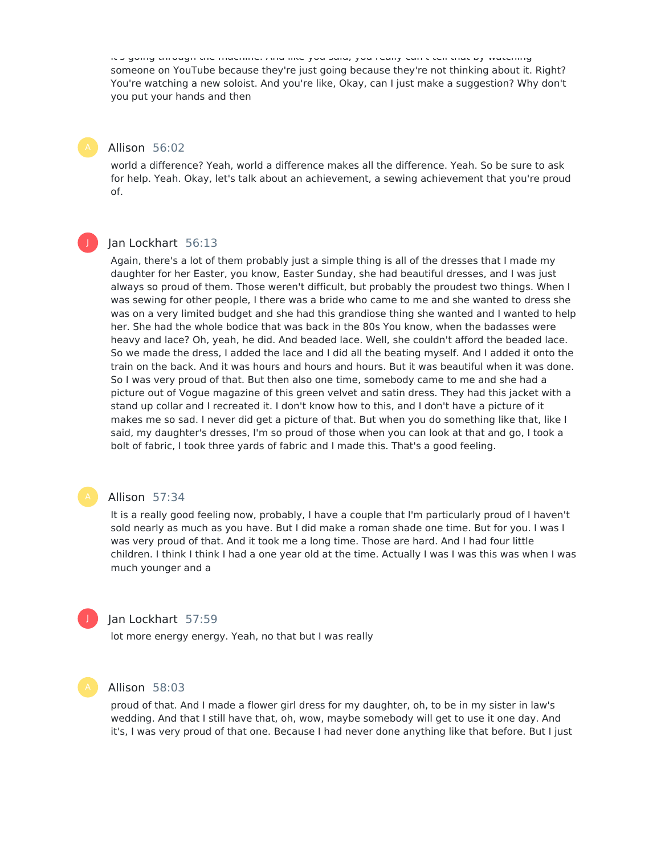it's going through the machine. And like you said, you really can't tell that by watching someone on YouTube because they're just going because they're not thinking about it. Right? You're watching a new soloist. And you're like, Okay, can I just make a suggestion? Why don't you put your hands and then

## Allison 56:02

world a difference? Yeah, world a difference makes all the difference. Yeah. So be sure to ask for help. Yeah. Okay, let's talk about an achievement, a sewing achievement that you're proud of.

## J

## Jan Lockhart 56:13

Again, there's a lot of them probably just a simple thing is all of the dresses that I made my daughter for her Easter, you know, Easter Sunday, she had beautiful dresses, and I was just always so proud of them. Those weren't difficult, but probably the proudest two things. When I was sewing for other people, I there was a bride who came to me and she wanted to dress she was on a very limited budget and she had this grandiose thing she wanted and I wanted to help her. She had the whole bodice that was back in the 80s You know, when the badasses were heavy and lace? Oh, yeah, he did. And beaded lace. Well, she couldn't afford the beaded lace. So we made the dress, I added the lace and I did all the beating myself. And I added it onto the train on the back. And it was hours and hours and hours. But it was beautiful when it was done. So I was very proud of that. But then also one time, somebody came to me and she had a picture out of Vogue magazine of this green velvet and satin dress. They had this jacket with a stand up collar and I recreated it. I don't know how to this, and I don't have a picture of it makes me so sad. I never did get a picture of that. But when you do something like that, like I said, my daughter's dresses, I'm so proud of those when you can look at that and go, I took a bolt of fabric, I took three yards of fabric and I made this. That's a good feeling.

## Allison 57:34

It is a really good feeling now, probably, I have a couple that I'm particularly proud of I haven't sold nearly as much as you have. But I did make a roman shade one time. But for you. I was I was very proud of that. And it took me a long time. Those are hard. And I had four little children. I think I think I had a one year old at the time. Actually I was I was this was when I was much younger and a

#### J

## Jan Lockhart 57:59

lot more energy energy. Yeah, no that but I was really

## Allison 58:03

proud of that. And I made a flower girl dress for my daughter, oh, to be in my sister in law's wedding. And that I still have that, oh, wow, maybe somebody will get to use it one day. And it's, I was very proud of that one. Because I had never done anything like that before. But I just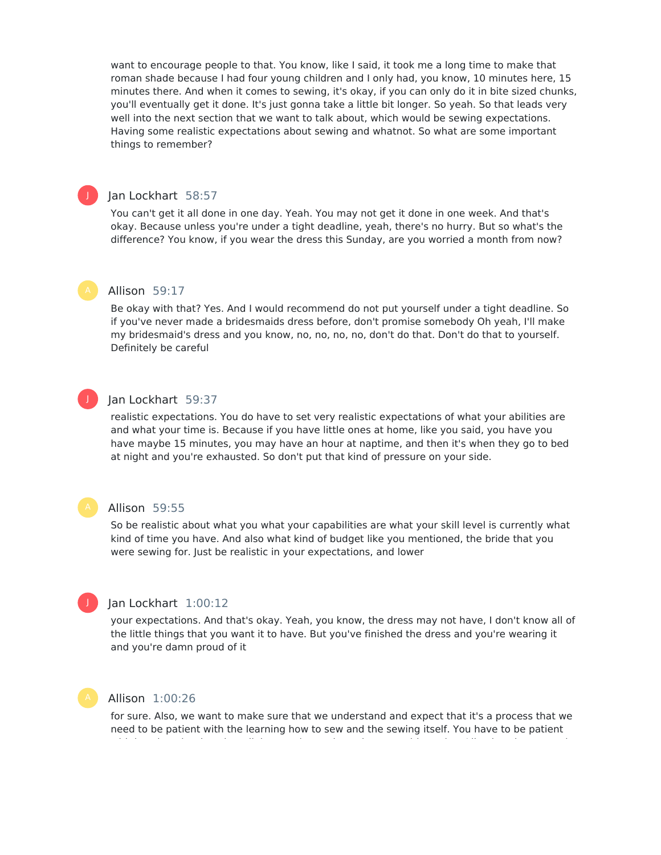want to encourage people to that. You know, like I said, it took me a long time to make that roman shade because I had four young children and I only had, you know, 10 minutes here, 15 minutes there. And when it comes to sewing, it's okay, if you can only do it in bite sized chunks, you'll eventually get it done. It's just gonna take a little bit longer. So yeah. So that leads very well into the next section that we want to talk about, which would be sewing expectations. Having some realistic expectations about sewing and whatnot. So what are some important things to remember?

## Jan Lockhart 58:57

You can't get it all done in one day. Yeah. You may not get it done in one week. And that's okay. Because unless you're under a tight deadline, yeah, there's no hurry. But so what's the difference? You know, if you wear the dress this Sunday, are you worried a month from now?

## Allison 59:17

Be okay with that? Yes. And I would recommend do not put yourself under a tight deadline. So if you've never made a bridesmaids dress before, don't promise somebody Oh yeah, I'll make my bridesmaid's dress and you know, no, no, no, no, don't do that. Don't do that to yourself. Definitely be careful

## J

J

## Jan Lockhart 59:37

realistic expectations. You do have to set very realistic expectations of what your abilities are and what your time is. Because if you have little ones at home, like you said, you have you have maybe 15 minutes, you may have an hour at naptime, and then it's when they go to bed at night and you're exhausted. So don't put that kind of pressure on your side.

## Allison 59:55

So be realistic about what you what your capabilities are what your skill level is currently what kind of time you have. And also what kind of budget like you mentioned, the bride that you were sewing for. Just be realistic in your expectations, and lower



## Jan Lockhart 1:00:12

your expectations. And that's okay. Yeah, you know, the dress may not have, I don't know all of the little things that you want it to have. But you've finished the dress and you're wearing it and you're damn proud of it

#### Allison 1:00:26

for sure. Also, we want to make sure that we understand and expect that it's a process that we need to be patient with the learning how to sew and the sewing itself. You have to be patient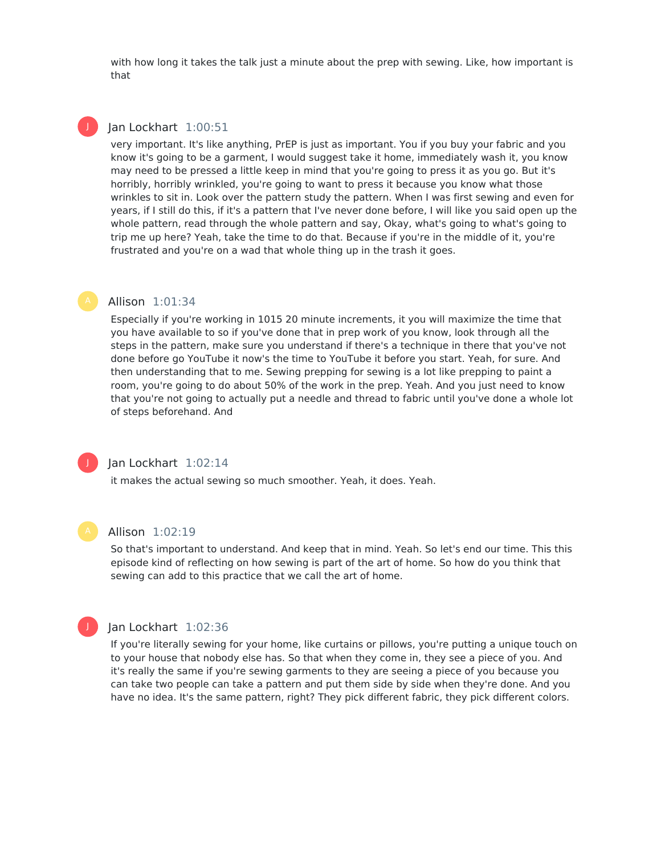with how long it takes the talk just a minute about the prep with sewing. Like, how important is that

## Jan Lockhart 1:00:51

J

very important. It's like anything, PrEP is just as important. You if you buy your fabric and you know it's going to be a garment, I would suggest take it home, immediately wash it, you know may need to be pressed a little keep in mind that you're going to press it as you go. But it's horribly, horribly wrinkled, you're going to want to press it because you know what those wrinkles to sit in. Look over the pattern study the pattern. When I was first sewing and even for years, if I still do this, if it's a pattern that I've never done before, I will like you said open up the whole pattern, read through the whole pattern and say, Okay, what's going to what's going to trip me up here? Yeah, take the time to do that. Because if you're in the middle of it, you're frustrated and you're on a wad that whole thing up in the trash it goes.

## Allison 1:01:34

Especially if you're working in 1015 20 minute increments, it you will maximize the time that you have available to so if you've done that in prep work of you know, look through all the steps in the pattern, make sure you understand if there's a technique in there that you've not done before go YouTube it now's the time to YouTube it before you start. Yeah, for sure. And then understanding that to me. Sewing prepping for sewing is a lot like prepping to paint a room, you're going to do about 50% of the work in the prep. Yeah. And you just need to know that you're not going to actually put a needle and thread to fabric until you've done a whole lot of steps beforehand. And



## Jan Lockhart 1:02:14

it makes the actual sewing so much smoother. Yeah, it does. Yeah.



#### Allison 1:02:19

So that's important to understand. And keep that in mind. Yeah. So let's end our time. This this episode kind of reflecting on how sewing is part of the art of home. So how do you think that sewing can add to this practice that we call the art of home.



### Jan Lockhart 1:02:36

If you're literally sewing for your home, like curtains or pillows, you're putting a unique touch on to your house that nobody else has. So that when they come in, they see a piece of you. And it's really the same if you're sewing garments to they are seeing a piece of you because you can take two people can take a pattern and put them side by side when they're done. And you have no idea. It's the same pattern, right? They pick different fabric, they pick different colors.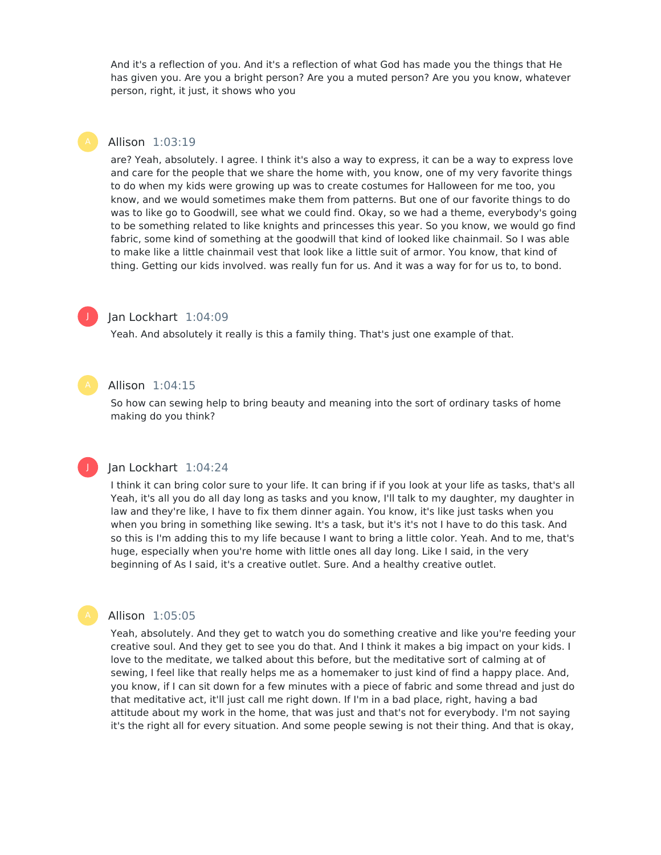And it's a reflection of you. And it's a reflection of what God has made you the things that He has given you. Are you a bright person? Are you a muted person? Are you you know, whatever person, right, it just, it shows who you

## Allison 1:03:19

are? Yeah, absolutely. I agree. I think it's also a way to express, it can be a way to express love and care for the people that we share the home with, you know, one of my very favorite things to do when my kids were growing up was to create costumes for Halloween for me too, you know, and we would sometimes make them from patterns. But one of our favorite things to do was to like go to Goodwill, see what we could find. Okay, so we had a theme, everybody's going to be something related to like knights and princesses this year. So you know, we would go find fabric, some kind of something at the goodwill that kind of looked like chainmail. So I was able to make like a little chainmail vest that look like a little suit of armor. You know, that kind of thing. Getting our kids involved. was really fun for us. And it was a way for for us to, to bond.



## Jan Lockhart 1:04:09

Yeah. And absolutely it really is this a family thing. That's just one example of that.

## Allison 1:04:15

So how can sewing help to bring beauty and meaning into the sort of ordinary tasks of home making do you think?

#### Jan Lockhart 1:04:24

I think it can bring color sure to your life. It can bring if if you look at your life as tasks, that's all Yeah, it's all you do all day long as tasks and you know, I'll talk to my daughter, my daughter in law and they're like, I have to fix them dinner again. You know, it's like just tasks when you when you bring in something like sewing. It's a task, but it's it's not I have to do this task. And so this is I'm adding this to my life because I want to bring a little color. Yeah. And to me, that's huge, especially when you're home with little ones all day long. Like I said, in the very beginning of As I said, it's a creative outlet. Sure. And a healthy creative outlet.



J

#### Allison 1:05:05

Yeah, absolutely. And they get to watch you do something creative and like you're feeding your creative soul. And they get to see you do that. And I think it makes a big impact on your kids. I love to the meditate, we talked about this before, but the meditative sort of calming at of sewing, I feel like that really helps me as a homemaker to just kind of find a happy place. And, you know, if I can sit down for a few minutes with a piece of fabric and some thread and just do that meditative act, it'll just call me right down. If I'm in a bad place, right, having a bad attitude about my work in the home, that was just and that's not for everybody. I'm not saying it's the right all for every situation. And some people sewing is not their thing. And that is okay,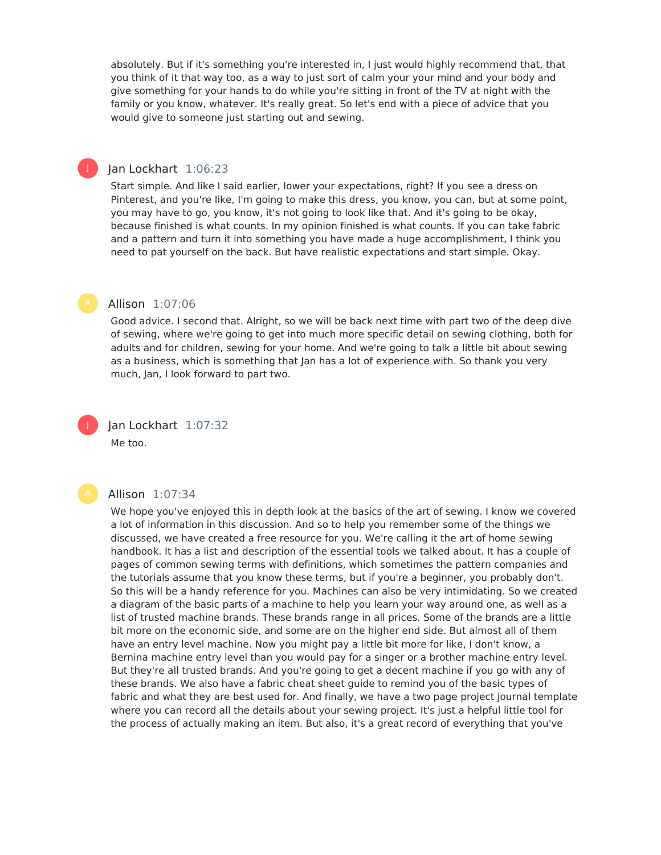absolutely. But if it's something you're interested in, I just would highly recommend that, that you think of it that way too, as a way to just sort of calm your your mind and your body and give something for your hands to do while you're sitting in front of the TV at night with the family or you know, whatever. It's really great. So let's end with a piece of advice that you would give to someone just starting out and sewing.

## Jan Lockhart 1:06:23

Start simple. And like I said earlier, lower your expectations, right? If you see a dress on Pinterest, and you're like, I'm going to make this dress, you know, you can, but at some point, you may have to go, you know, it's not going to look like that. And it's going to be okay, because finished is what counts. In my opinion finished is what counts. If you can take fabric and a pattern and turn it into something you have made a huge accomplishment, I think you need to pat yourself on the back. But have realistic expectations and start simple. Okay.

#### Allison 1:07:06

Good advice. I second that. Alright, so we will be back next time with part two of the deep dive of sewing, where we're going to get into much more specific detail on sewing clothing, both for adults and for children, sewing for your home. And we're going to talk a little bit about sewing as a business, which is something that Jan has a lot of experience with. So thank you very much, Jan, I look forward to part two.

J

J

Jan Lockhart 1:07:32 Me too.



#### Allison 1:07:34

We hope you've enjoyed this in depth look at the basics of the art of sewing. I know we covered a lot of information in this discussion. And so to help you remember some of the things we discussed, we have created a free resource for you. We're calling it the art of home sewing handbook. It has a list and description of the essential tools we talked about. It has a couple of pages of common sewing terms with definitions, which sometimes the pattern companies and the tutorials assume that you know these terms, but if you're a beginner, you probably don't. So this will be a handy reference for you. Machines can also be very intimidating. So we created a diagram of the basic parts of a machine to help you learn your way around one, as well as a list of trusted machine brands. These brands range in all prices. Some of the brands are a little bit more on the economic side, and some are on the higher end side. But almost all of them have an entry level machine. Now you might pay a little bit more for like, I don't know, a Bernina machine entry level than you would pay for a singer or a brother machine entry level. But they're all trusted brands. And you're going to get a decent machine if you go with any of these brands. We also have a fabric cheat sheet guide to remind you of the basic types of fabric and what they are best used for. And finally, we have a two page project journal template where you can record all the details about your sewing project. It's just a helpful little tool for the process of actually making an item. But also, it's a great record of everything that you've